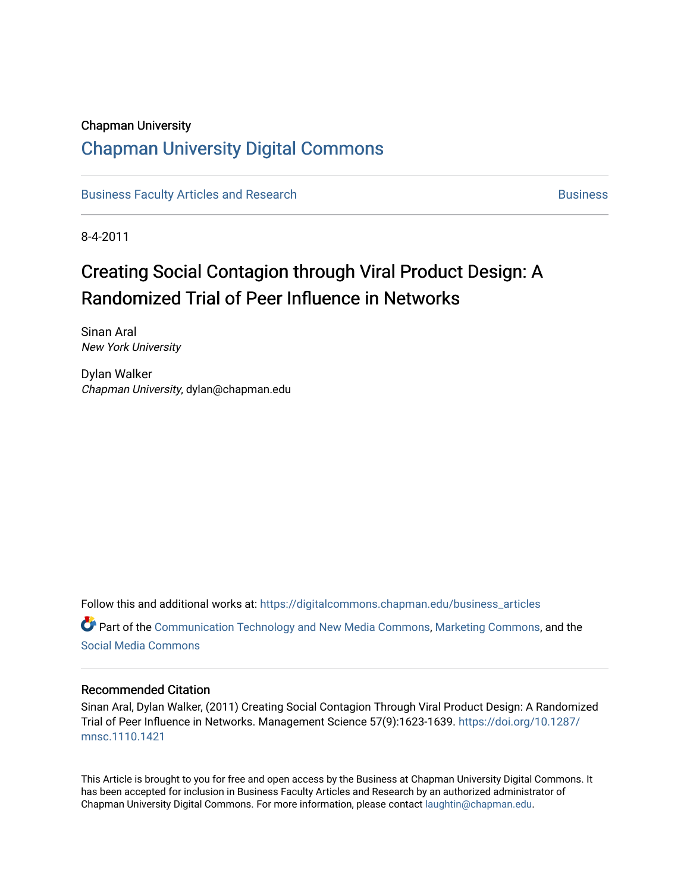# Chapman University

# [Chapman University Digital Commons](https://digitalcommons.chapman.edu/)

[Business Faculty Articles and Research](https://digitalcommons.chapman.edu/business_articles) [Business](https://digitalcommons.chapman.edu/business) **Business** Business

8-4-2011

# Creating Social Contagion through Viral Product Design: A Randomized Trial of Peer Influence in Networks

Sinan Aral New York University

Dylan Walker Chapman University, dylan@chapman.edu

Follow this and additional works at: [https://digitalcommons.chapman.edu/business\\_articles](https://digitalcommons.chapman.edu/business_articles?utm_source=digitalcommons.chapman.edu%2Fbusiness_articles%2F143&utm_medium=PDF&utm_campaign=PDFCoverPages)  Part of the [Communication Technology and New Media Commons,](https://network.bepress.com/hgg/discipline/327?utm_source=digitalcommons.chapman.edu%2Fbusiness_articles%2F143&utm_medium=PDF&utm_campaign=PDFCoverPages) [Marketing Commons](https://network.bepress.com/hgg/discipline/638?utm_source=digitalcommons.chapman.edu%2Fbusiness_articles%2F143&utm_medium=PDF&utm_campaign=PDFCoverPages), and the [Social Media Commons](https://network.bepress.com/hgg/discipline/1249?utm_source=digitalcommons.chapman.edu%2Fbusiness_articles%2F143&utm_medium=PDF&utm_campaign=PDFCoverPages) 

# Recommended Citation

Sinan Aral, Dylan Walker, (2011) Creating Social Contagion Through Viral Product Design: A Randomized Trial of Peer Influence in Networks. Management Science 57(9):1623-1639. [https://doi.org/10.1287/](https://doi.org/10.1287/mnsc.1110.1421) [mnsc.1110.1421](https://doi.org/10.1287/mnsc.1110.1421) 

This Article is brought to you for free and open access by the Business at Chapman University Digital Commons. It has been accepted for inclusion in Business Faculty Articles and Research by an authorized administrator of Chapman University Digital Commons. For more information, please contact [laughtin@chapman.edu](mailto:laughtin@chapman.edu).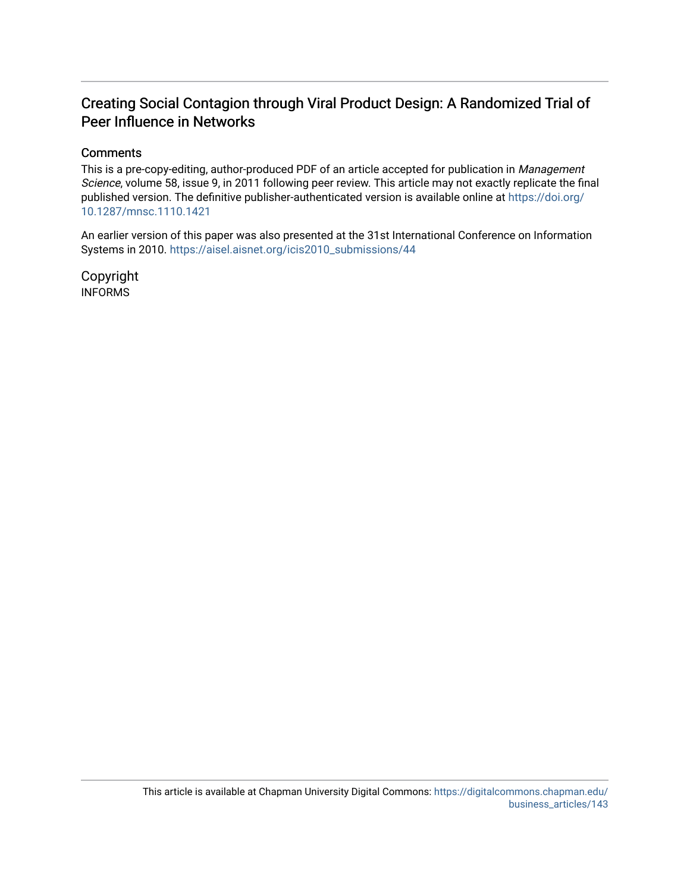# Creating Social Contagion through Viral Product Design: A Randomized Trial of Peer Influence in Networks

# **Comments**

This is a pre-copy-editing, author-produced PDF of an article accepted for publication in Management Science, volume 58, issue 9, in 2011 following peer review. This article may not exactly replicate the final published version. The definitive publisher-authenticated version is available online at [https://doi.org/](https://doi.org/10.1287/mnsc.1110.1421) [10.1287/mnsc.1110.1421](https://doi.org/10.1287/mnsc.1110.1421)

An earlier version of this paper was also presented at the 31st International Conference on Information Systems in 2010. [https://aisel.aisnet.org/icis2010\\_submissions/44](https://aisel.aisnet.org/icis2010_submissions/44)

Copyright INFORMS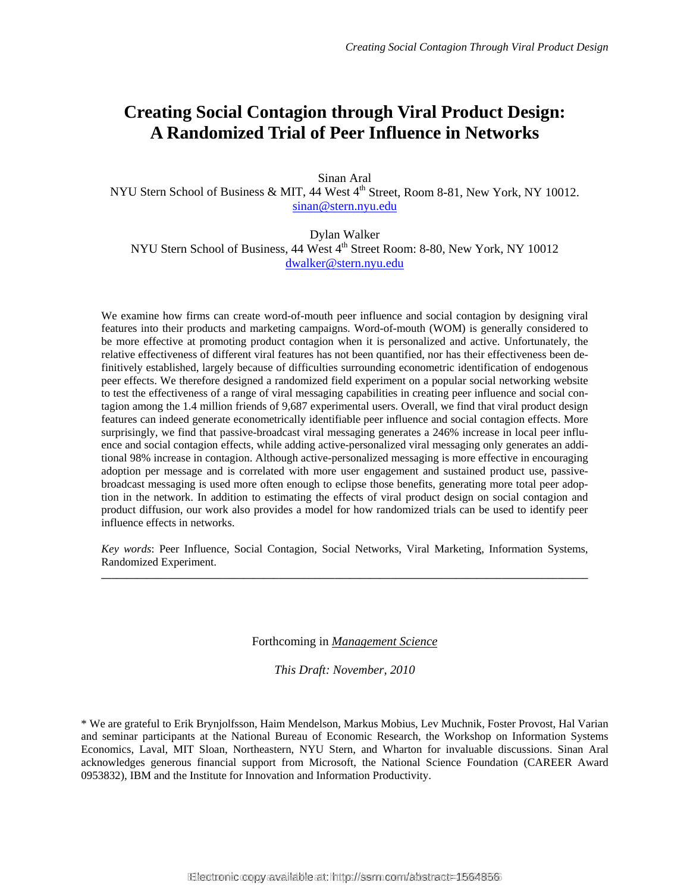# **Creating Social Contagion through Viral Product Design: A Randomized Trial of Peer Influence in Networks**

Sinan Aral NYU Stern School of Business & MIT, 44 West  $4<sup>th</sup>$  Street, Room 8-81, New York, NY 10012. sinan@stern.nyu.edu

Dylan Walker

NYU Stern School of Business, 44 West 4<sup>th</sup> Street Room: 8-80, New York, NY 10012 dwalker@stern.nyu.edu

We examine how firms can create word-of-mouth peer influence and social contagion by designing viral features into their products and marketing campaigns. Word-of-mouth (WOM) is generally considered to be more effective at promoting product contagion when it is personalized and active. Unfortunately, the relative effectiveness of different viral features has not been quantified, nor has their effectiveness been definitively established, largely because of difficulties surrounding econometric identification of endogenous peer effects. We therefore designed a randomized field experiment on a popular social networking website to test the effectiveness of a range of viral messaging capabilities in creating peer influence and social contagion among the 1.4 million friends of 9,687 experimental users. Overall, we find that viral product design features can indeed generate econometrically identifiable peer influence and social contagion effects. More surprisingly, we find that passive-broadcast viral messaging generates a 246% increase in local peer influence and social contagion effects, while adding active-personalized viral messaging only generates an additional 98% increase in contagion. Although active-personalized messaging is more effective in encouraging adoption per message and is correlated with more user engagement and sustained product use, passivebroadcast messaging is used more often enough to eclipse those benefits, generating more total peer adoption in the network. In addition to estimating the effects of viral product design on social contagion and product diffusion, our work also provides a model for how randomized trials can be used to identify peer influence effects in networks.

*Key words*: Peer Influence, Social Contagion, Social Networks, Viral Marketing, Information Systems, Randomized Experiment. **\_\_\_\_\_\_\_\_\_\_\_\_\_\_\_\_\_\_\_\_\_\_\_\_\_\_\_\_\_\_\_\_\_\_\_\_\_\_\_\_\_\_\_\_\_\_\_\_\_\_\_\_\_\_\_\_\_\_\_\_\_\_\_\_\_\_\_\_\_\_\_\_\_\_\_\_\_\_\_\_\_\_\_\_\_\_\_\_\_\_\_\_\_\_\_\_** 

Forthcoming in *Management Science*

*This Draft: November, 2010* 

\* We are grateful to Erik Brynjolfsson, Haim Mendelson, Markus Mobius, Lev Muchnik, Foster Provost, Hal Varian and seminar participants at the National Bureau of Economic Research, the Workshop on Information Systems Economics, Laval, MIT Sloan, Northeastern, NYU Stern, and Wharton for invaluable discussions. Sinan Aral acknowledges generous financial support from Microsoft, the National Science Foundation (CAREER Award 0953832), IBM and the Institute for Innovation and Information Productivity.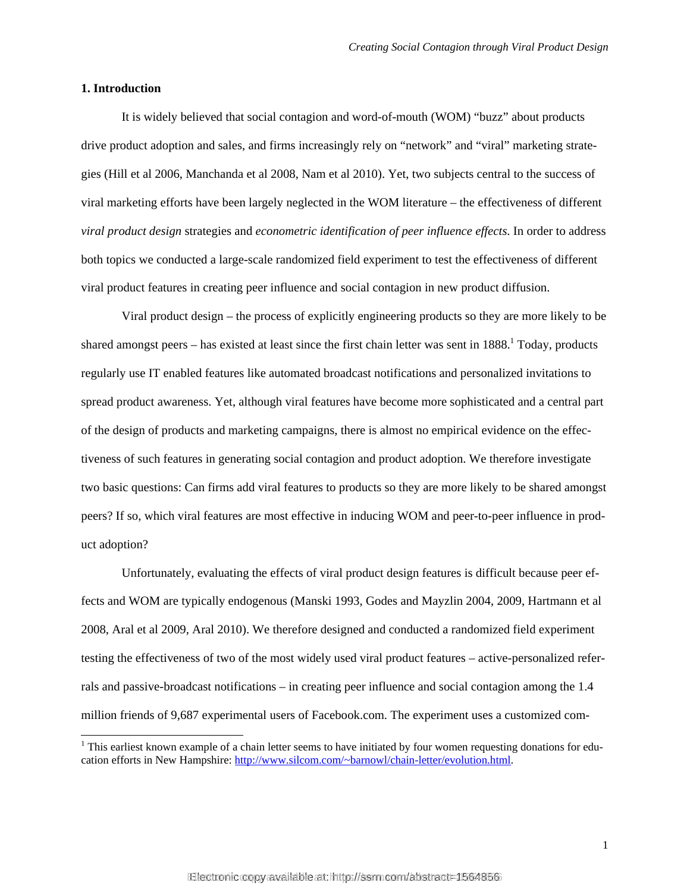#### **1. Introduction**

 $\overline{a}$ 

 It is widely believed that social contagion and word-of-mouth (WOM) "buzz" about products drive product adoption and sales, and firms increasingly rely on "network" and "viral" marketing strategies (Hill et al 2006, Manchanda et al 2008, Nam et al 2010). Yet, two subjects central to the success of viral marketing efforts have been largely neglected in the WOM literature – the effectiveness of different *viral product design* strategies and *econometric identification of peer influence effects*. In order to address both topics we conducted a large-scale randomized field experiment to test the effectiveness of different viral product features in creating peer influence and social contagion in new product diffusion.

Viral product design – the process of explicitly engineering products so they are more likely to be shared amongst peers – has existed at least since the first chain letter was sent in 1888.<sup>1</sup> Today, products regularly use IT enabled features like automated broadcast notifications and personalized invitations to spread product awareness. Yet, although viral features have become more sophisticated and a central part of the design of products and marketing campaigns, there is almost no empirical evidence on the effectiveness of such features in generating social contagion and product adoption. We therefore investigate two basic questions: Can firms add viral features to products so they are more likely to be shared amongst peers? If so, which viral features are most effective in inducing WOM and peer-to-peer influence in product adoption?

Unfortunately, evaluating the effects of viral product design features is difficult because peer effects and WOM are typically endogenous (Manski 1993, Godes and Mayzlin 2004, 2009, Hartmann et al 2008, Aral et al 2009, Aral 2010). We therefore designed and conducted a randomized field experiment testing the effectiveness of two of the most widely used viral product features – active-personalized referrals and passive-broadcast notifications – in creating peer influence and social contagion among the 1.4 million friends of 9,687 experimental users of Facebook.com. The experiment uses a customized com-

<sup>&</sup>lt;sup>1</sup> This earliest known example of a chain letter seems to have initiated by four women requesting donations for education efforts in New Hampshire: http://www.silcom.com/~barnowl/chain-letter/evolution.html.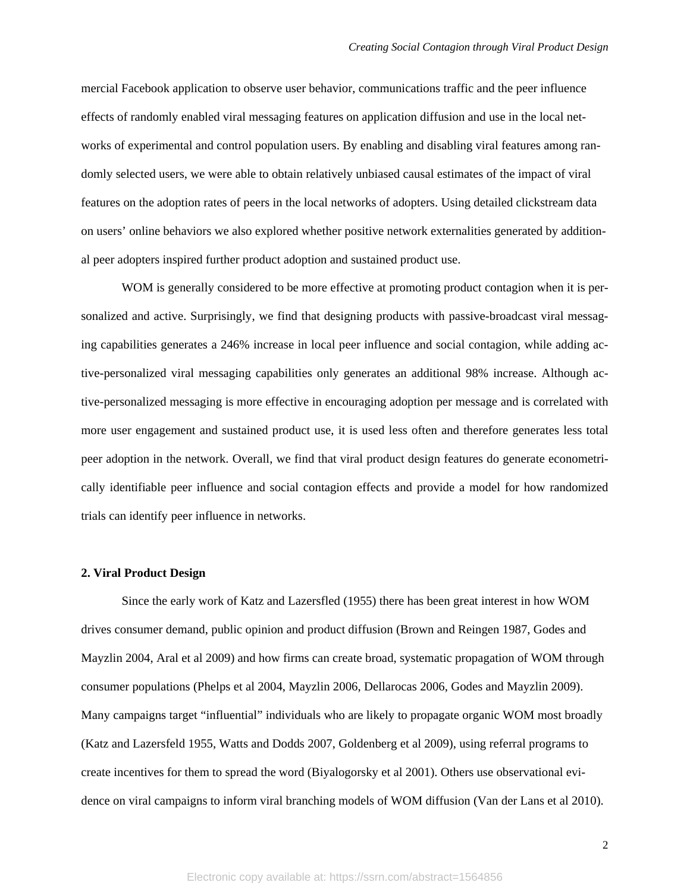mercial Facebook application to observe user behavior, communications traffic and the peer influence effects of randomly enabled viral messaging features on application diffusion and use in the local networks of experimental and control population users. By enabling and disabling viral features among randomly selected users, we were able to obtain relatively unbiased causal estimates of the impact of viral features on the adoption rates of peers in the local networks of adopters. Using detailed clickstream data on users' online behaviors we also explored whether positive network externalities generated by additional peer adopters inspired further product adoption and sustained product use.

WOM is generally considered to be more effective at promoting product contagion when it is personalized and active. Surprisingly, we find that designing products with passive-broadcast viral messaging capabilities generates a 246% increase in local peer influence and social contagion, while adding active-personalized viral messaging capabilities only generates an additional 98% increase. Although active-personalized messaging is more effective in encouraging adoption per message and is correlated with more user engagement and sustained product use, it is used less often and therefore generates less total peer adoption in the network. Overall, we find that viral product design features do generate econometrically identifiable peer influence and social contagion effects and provide a model for how randomized trials can identify peer influence in networks.

#### **2. Viral Product Design**

Since the early work of Katz and Lazersfled (1955) there has been great interest in how WOM drives consumer demand, public opinion and product diffusion (Brown and Reingen 1987, Godes and Mayzlin 2004, Aral et al 2009) and how firms can create broad, systematic propagation of WOM through consumer populations (Phelps et al 2004, Mayzlin 2006, Dellarocas 2006, Godes and Mayzlin 2009). Many campaigns target "influential" individuals who are likely to propagate organic WOM most broadly (Katz and Lazersfeld 1955, Watts and Dodds 2007, Goldenberg et al 2009), using referral programs to create incentives for them to spread the word (Biyalogorsky et al 2001). Others use observational evidence on viral campaigns to inform viral branching models of WOM diffusion (Van der Lans et al 2010).

2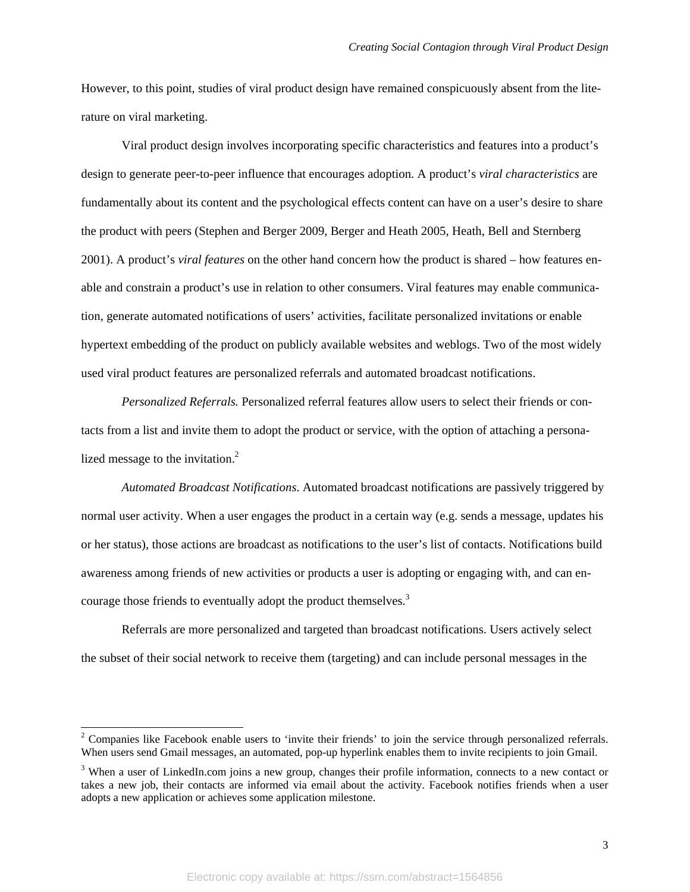However, to this point, studies of viral product design have remained conspicuously absent from the literature on viral marketing.

Viral product design involves incorporating specific characteristics and features into a product's design to generate peer-to-peer influence that encourages adoption. A product's *viral characteristics* are fundamentally about its content and the psychological effects content can have on a user's desire to share the product with peers (Stephen and Berger 2009, Berger and Heath 2005, Heath, Bell and Sternberg 2001). A product's *viral features* on the other hand concern how the product is shared – how features enable and constrain a product's use in relation to other consumers. Viral features may enable communication, generate automated notifications of users' activities, facilitate personalized invitations or enable hypertext embedding of the product on publicly available websites and weblogs. Two of the most widely used viral product features are personalized referrals and automated broadcast notifications.

*Personalized Referrals.* Personalized referral features allow users to select their friends or contacts from a list and invite them to adopt the product or service, with the option of attaching a personalized message to the invitation.<sup>2</sup>

*Automated Broadcast Notifications*. Automated broadcast notifications are passively triggered by normal user activity. When a user engages the product in a certain way (e.g. sends a message, updates his or her status), those actions are broadcast as notifications to the user's list of contacts. Notifications build awareness among friends of new activities or products a user is adopting or engaging with, and can encourage those friends to eventually adopt the product themselves.<sup>3</sup>

Referrals are more personalized and targeted than broadcast notifications. Users actively select the subset of their social network to receive them (targeting) and can include personal messages in the

 $\overline{a}$ 

 $2^2$  Companies like Facebook enable users to 'invite their friends' to join the service through personalized referrals. When users send Gmail messages, an automated, pop-up hyperlink enables them to invite recipients to join Gmail.

<sup>&</sup>lt;sup>3</sup> When a user of LinkedIn.com joins a new group, changes their profile information, connects to a new contact or takes a new job, their contacts are informed via email about the activity. Facebook notifies friends when a user adopts a new application or achieves some application milestone.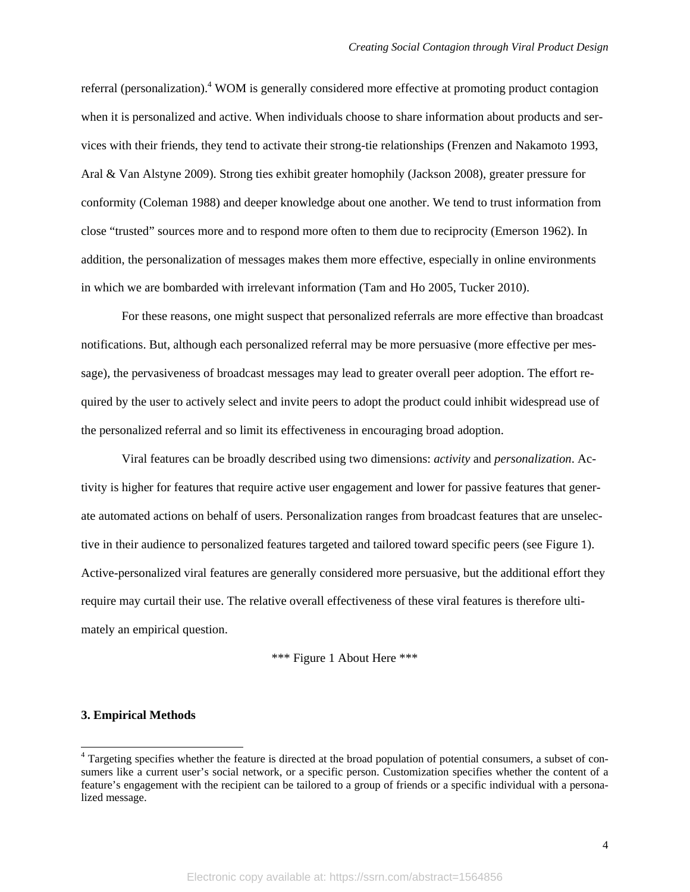referral (personalization).<sup>4</sup> WOM is generally considered more effective at promoting product contagion when it is personalized and active. When individuals choose to share information about products and services with their friends, they tend to activate their strong-tie relationships (Frenzen and Nakamoto 1993, Aral & Van Alstyne 2009). Strong ties exhibit greater homophily (Jackson 2008), greater pressure for conformity (Coleman 1988) and deeper knowledge about one another. We tend to trust information from close "trusted" sources more and to respond more often to them due to reciprocity (Emerson 1962). In addition, the personalization of messages makes them more effective, especially in online environments in which we are bombarded with irrelevant information (Tam and Ho 2005, Tucker 2010).

For these reasons, one might suspect that personalized referrals are more effective than broadcast notifications. But, although each personalized referral may be more persuasive (more effective per message), the pervasiveness of broadcast messages may lead to greater overall peer adoption. The effort required by the user to actively select and invite peers to adopt the product could inhibit widespread use of the personalized referral and so limit its effectiveness in encouraging broad adoption.

 Viral features can be broadly described using two dimensions: *activity* and *personalization*. Activity is higher for features that require active user engagement and lower for passive features that generate automated actions on behalf of users. Personalization ranges from broadcast features that are unselective in their audience to personalized features targeted and tailored toward specific peers (see Figure 1). Active-personalized viral features are generally considered more persuasive, but the additional effort they require may curtail their use. The relative overall effectiveness of these viral features is therefore ultimately an empirical question.

\*\*\* Figure 1 About Here \*\*\*

#### **3. Empirical Methods**

 $\overline{a}$ 

<sup>&</sup>lt;sup>4</sup> Targeting specifies whether the feature is directed at the broad population of potential consumers, a subset of consumers like a current user's social network, or a specific person. Customization specifies whether the content of a feature's engagement with the recipient can be tailored to a group of friends or a specific individual with a personalized message.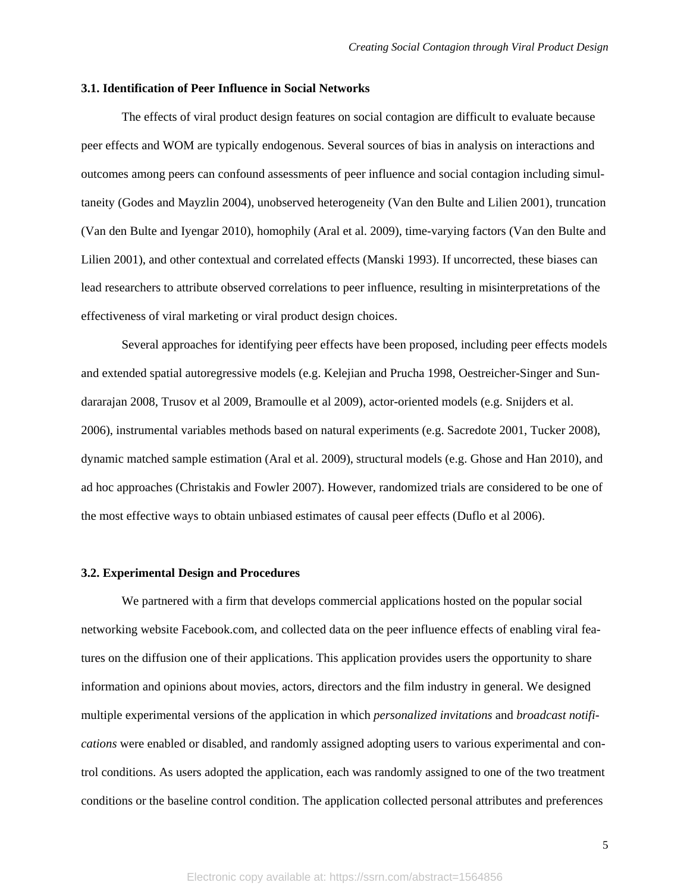### **3.1. Identification of Peer Influence in Social Networks**

 The effects of viral product design features on social contagion are difficult to evaluate because peer effects and WOM are typically endogenous. Several sources of bias in analysis on interactions and outcomes among peers can confound assessments of peer influence and social contagion including simultaneity (Godes and Mayzlin 2004), unobserved heterogeneity (Van den Bulte and Lilien 2001), truncation (Van den Bulte and Iyengar 2010), homophily (Aral et al. 2009), time-varying factors (Van den Bulte and Lilien 2001), and other contextual and correlated effects (Manski 1993). If uncorrected, these biases can lead researchers to attribute observed correlations to peer influence, resulting in misinterpretations of the effectiveness of viral marketing or viral product design choices.

Several approaches for identifying peer effects have been proposed, including peer effects models and extended spatial autoregressive models (e.g. Kelejian and Prucha 1998, Oestreicher-Singer and Sundararajan 2008, Trusov et al 2009, Bramoulle et al 2009), actor-oriented models (e.g. Snijders et al. 2006), instrumental variables methods based on natural experiments (e.g. Sacredote 2001, Tucker 2008), dynamic matched sample estimation (Aral et al. 2009), structural models (e.g. Ghose and Han 2010), and ad hoc approaches (Christakis and Fowler 2007). However, randomized trials are considered to be one of the most effective ways to obtain unbiased estimates of causal peer effects (Duflo et al 2006).

#### **3.2. Experimental Design and Procedures**

 We partnered with a firm that develops commercial applications hosted on the popular social networking website Facebook.com, and collected data on the peer influence effects of enabling viral features on the diffusion one of their applications. This application provides users the opportunity to share information and opinions about movies, actors, directors and the film industry in general. We designed multiple experimental versions of the application in which *personalized invitations* and *broadcast notifications* were enabled or disabled, and randomly assigned adopting users to various experimental and control conditions. As users adopted the application, each was randomly assigned to one of the two treatment conditions or the baseline control condition. The application collected personal attributes and preferences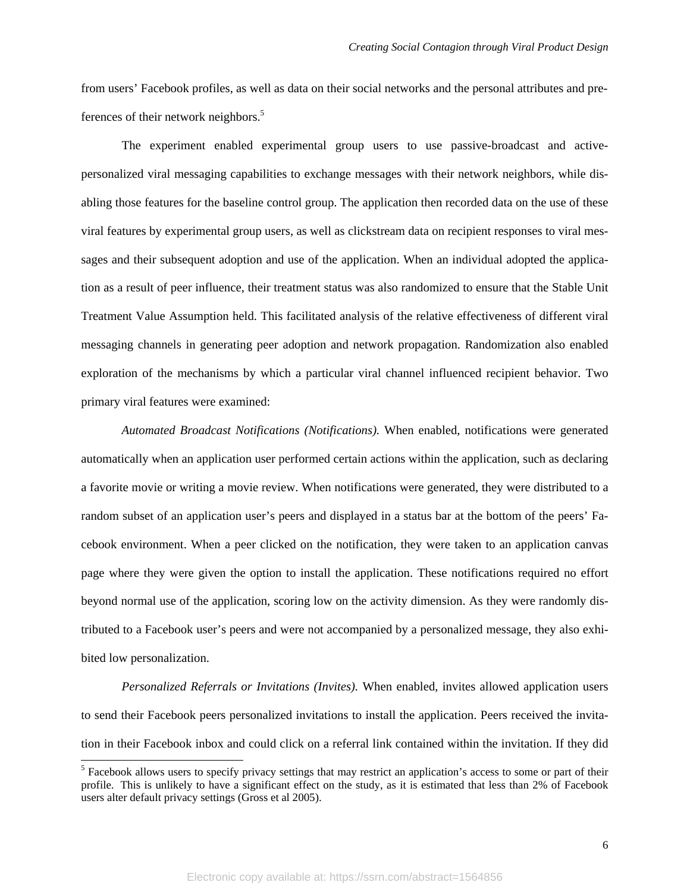from users' Facebook profiles, as well as data on their social networks and the personal attributes and preferences of their network neighbors.<sup>5</sup>

The experiment enabled experimental group users to use passive-broadcast and activepersonalized viral messaging capabilities to exchange messages with their network neighbors, while disabling those features for the baseline control group. The application then recorded data on the use of these viral features by experimental group users, as well as clickstream data on recipient responses to viral messages and their subsequent adoption and use of the application. When an individual adopted the application as a result of peer influence, their treatment status was also randomized to ensure that the Stable Unit Treatment Value Assumption held. This facilitated analysis of the relative effectiveness of different viral messaging channels in generating peer adoption and network propagation. Randomization also enabled exploration of the mechanisms by which a particular viral channel influenced recipient behavior. Two primary viral features were examined:

*Automated Broadcast Notifications (Notifications).* When enabled, notifications were generated automatically when an application user performed certain actions within the application, such as declaring a favorite movie or writing a movie review. When notifications were generated, they were distributed to a random subset of an application user's peers and displayed in a status bar at the bottom of the peers' Facebook environment. When a peer clicked on the notification, they were taken to an application canvas page where they were given the option to install the application. These notifications required no effort beyond normal use of the application, scoring low on the activity dimension. As they were randomly distributed to a Facebook user's peers and were not accompanied by a personalized message, they also exhibited low personalization.

*Personalized Referrals or Invitations (Invites).* When enabled, invites allowed application users to send their Facebook peers personalized invitations to install the application. Peers received the invitation in their Facebook inbox and could click on a referral link contained within the invitation. If they did

l

<sup>&</sup>lt;sup>5</sup> Facebook allows users to specify privacy settings that may restrict an application's access to some or part of their profile. This is unlikely to have a significant effect on the study, as it is estimated that less than 2% of Facebook users alter default privacy settings (Gross et al 2005).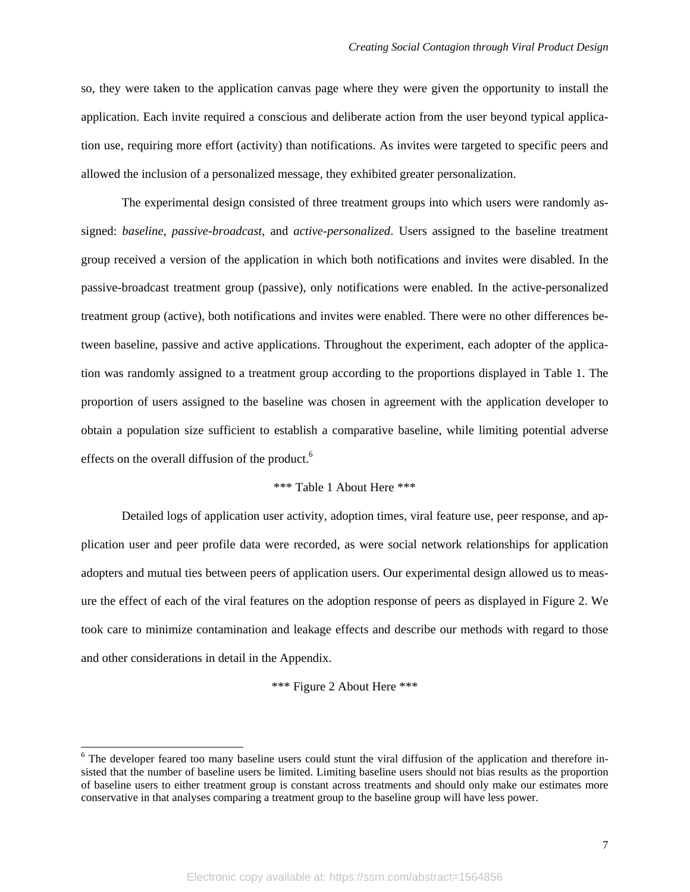so, they were taken to the application canvas page where they were given the opportunity to install the application. Each invite required a conscious and deliberate action from the user beyond typical application use, requiring more effort (activity) than notifications. As invites were targeted to specific peers and allowed the inclusion of a personalized message, they exhibited greater personalization.

The experimental design consisted of three treatment groups into which users were randomly assigned: *baseline*, *passive-broadcast*, and *active-personalized*. Users assigned to the baseline treatment group received a version of the application in which both notifications and invites were disabled. In the passive-broadcast treatment group (passive), only notifications were enabled. In the active-personalized treatment group (active), both notifications and invites were enabled. There were no other differences between baseline, passive and active applications. Throughout the experiment, each adopter of the application was randomly assigned to a treatment group according to the proportions displayed in Table 1. The proportion of users assigned to the baseline was chosen in agreement with the application developer to obtain a population size sufficient to establish a comparative baseline, while limiting potential adverse effects on the overall diffusion of the product.<sup>6</sup>

### \*\*\* Table 1 About Here \*\*\*

Detailed logs of application user activity, adoption times, viral feature use, peer response, and application user and peer profile data were recorded, as were social network relationships for application adopters and mutual ties between peers of application users. Our experimental design allowed us to measure the effect of each of the viral features on the adoption response of peers as displayed in Figure 2. We took care to minimize contamination and leakage effects and describe our methods with regard to those and other considerations in detail in the Appendix.

### \*\*\* Figure 2 About Here \*\*\*

 $\overline{\phantom{a}}$ 

<sup>&</sup>lt;sup>6</sup> The developer feared too many baseline users could stunt the viral diffusion of the application and therefore insisted that the number of baseline users be limited. Limiting baseline users should not bias results as the proportion of baseline users to either treatment group is constant across treatments and should only make our estimates more conservative in that analyses comparing a treatment group to the baseline group will have less power.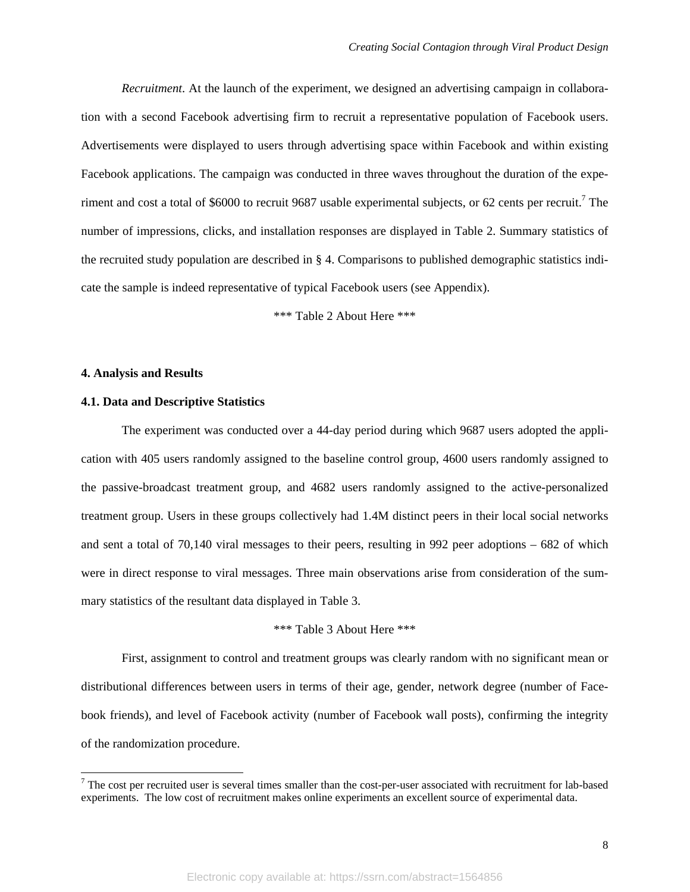*Recruitment*. At the launch of the experiment, we designed an advertising campaign in collaboration with a second Facebook advertising firm to recruit a representative population of Facebook users. Advertisements were displayed to users through advertising space within Facebook and within existing Facebook applications. The campaign was conducted in three waves throughout the duration of the experiment and cost a total of \$6000 to recruit 9687 usable experimental subjects, or 62 cents per recruit.<sup>7</sup> The number of impressions, clicks, and installation responses are displayed in Table 2. Summary statistics of the recruited study population are described in § 4. Comparisons to published demographic statistics indicate the sample is indeed representative of typical Facebook users (see Appendix).

\*\*\* Table 2 About Here \*\*\*

#### **4. Analysis and Results**

 $\overline{\phantom{a}}$ 

## **4.1. Data and Descriptive Statistics**

The experiment was conducted over a 44-day period during which 9687 users adopted the application with 405 users randomly assigned to the baseline control group, 4600 users randomly assigned to the passive-broadcast treatment group, and 4682 users randomly assigned to the active-personalized treatment group. Users in these groups collectively had 1.4M distinct peers in their local social networks and sent a total of 70,140 viral messages to their peers, resulting in 992 peer adoptions – 682 of which were in direct response to viral messages. Three main observations arise from consideration of the summary statistics of the resultant data displayed in Table 3.

### \*\*\* Table 3 About Here \*\*\*

First, assignment to control and treatment groups was clearly random with no significant mean or distributional differences between users in terms of their age, gender, network degree (number of Facebook friends), and level of Facebook activity (number of Facebook wall posts), confirming the integrity of the randomization procedure.

 $<sup>7</sup>$  The cost per recruited user is several times smaller than the cost-per-user associated with recruitment for lab-based</sup> experiments. The low cost of recruitment makes online experiments an excellent source of experimental data.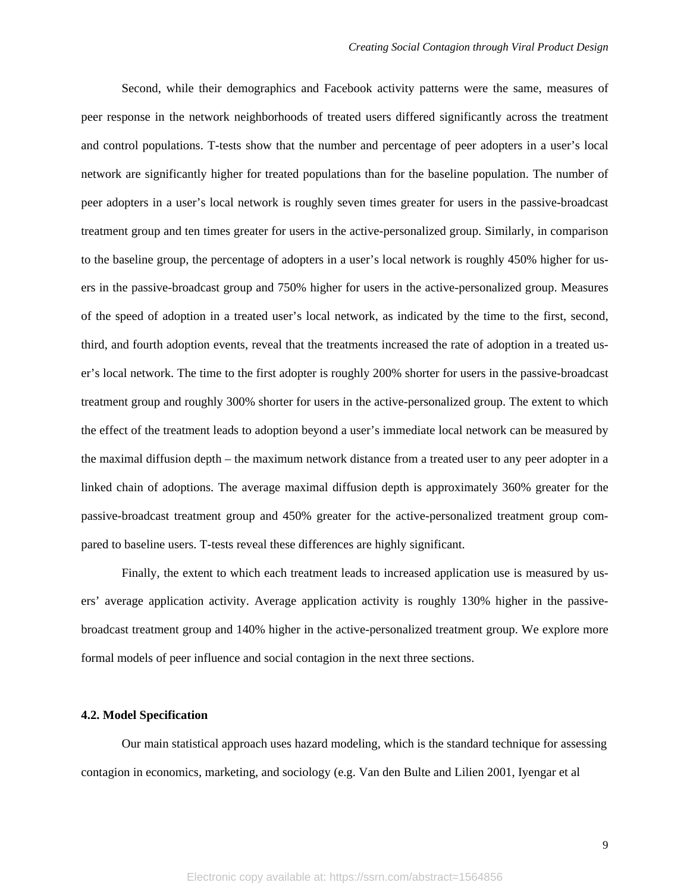Second, while their demographics and Facebook activity patterns were the same, measures of peer response in the network neighborhoods of treated users differed significantly across the treatment and control populations. T-tests show that the number and percentage of peer adopters in a user's local network are significantly higher for treated populations than for the baseline population. The number of peer adopters in a user's local network is roughly seven times greater for users in the passive-broadcast treatment group and ten times greater for users in the active-personalized group. Similarly, in comparison to the baseline group, the percentage of adopters in a user's local network is roughly 450% higher for users in the passive-broadcast group and 750% higher for users in the active-personalized group. Measures of the speed of adoption in a treated user's local network, as indicated by the time to the first, second, third, and fourth adoption events, reveal that the treatments increased the rate of adoption in a treated user's local network. The time to the first adopter is roughly 200% shorter for users in the passive-broadcast treatment group and roughly 300% shorter for users in the active-personalized group. The extent to which the effect of the treatment leads to adoption beyond a user's immediate local network can be measured by the maximal diffusion depth – the maximum network distance from a treated user to any peer adopter in a linked chain of adoptions. The average maximal diffusion depth is approximately 360% greater for the passive-broadcast treatment group and 450% greater for the active-personalized treatment group compared to baseline users. T-tests reveal these differences are highly significant.

Finally, the extent to which each treatment leads to increased application use is measured by users' average application activity. Average application activity is roughly 130% higher in the passivebroadcast treatment group and 140% higher in the active-personalized treatment group. We explore more formal models of peer influence and social contagion in the next three sections.

#### **4.2. Model Specification**

Our main statistical approach uses hazard modeling, which is the standard technique for assessing contagion in economics, marketing, and sociology (e.g. Van den Bulte and Lilien 2001, Iyengar et al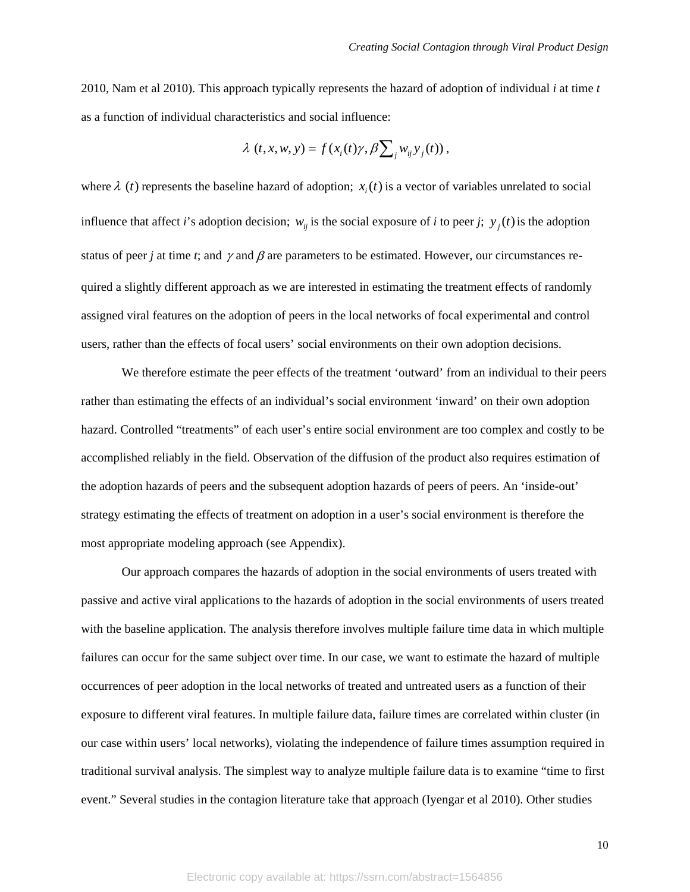2010, Nam et al 2010). This approach typically represents the hazard of adoption of individual *i* at time *t*  as a function of individual characteristics and social influence:

$$
\lambda(t, x, w, y) = f(x_i(t)\gamma, \beta \sum_j w_{ij} y_j(t)),
$$

where  $\lambda$  (*t*) represents the baseline hazard of adoption;  $x_i(t)$  is a vector of variables unrelated to social influence that affect *i*'s adoption decision;  $w_{ij}$  is the social exposure of *i* to peer *j*;  $y_j(t)$  is the adoption status of peer *j* at time *t*; and  $\gamma$  and  $\beta$  are parameters to be estimated. However, our circumstances required a slightly different approach as we are interested in estimating the treatment effects of randomly assigned viral features on the adoption of peers in the local networks of focal experimental and control users, rather than the effects of focal users' social environments on their own adoption decisions.

We therefore estimate the peer effects of the treatment 'outward' from an individual to their peers rather than estimating the effects of an individual's social environment 'inward' on their own adoption hazard. Controlled "treatments" of each user's entire social environment are too complex and costly to be accomplished reliably in the field. Observation of the diffusion of the product also requires estimation of the adoption hazards of peers and the subsequent adoption hazards of peers of peers. An 'inside-out' strategy estimating the effects of treatment on adoption in a user's social environment is therefore the most appropriate modeling approach (see Appendix).

 Our approach compares the hazards of adoption in the social environments of users treated with passive and active viral applications to the hazards of adoption in the social environments of users treated with the baseline application. The analysis therefore involves multiple failure time data in which multiple failures can occur for the same subject over time. In our case, we want to estimate the hazard of multiple occurrences of peer adoption in the local networks of treated and untreated users as a function of their exposure to different viral features. In multiple failure data, failure times are correlated within cluster (in our case within users' local networks), violating the independence of failure times assumption required in traditional survival analysis. The simplest way to analyze multiple failure data is to examine "time to first event." Several studies in the contagion literature take that approach (Iyengar et al 2010). Other studies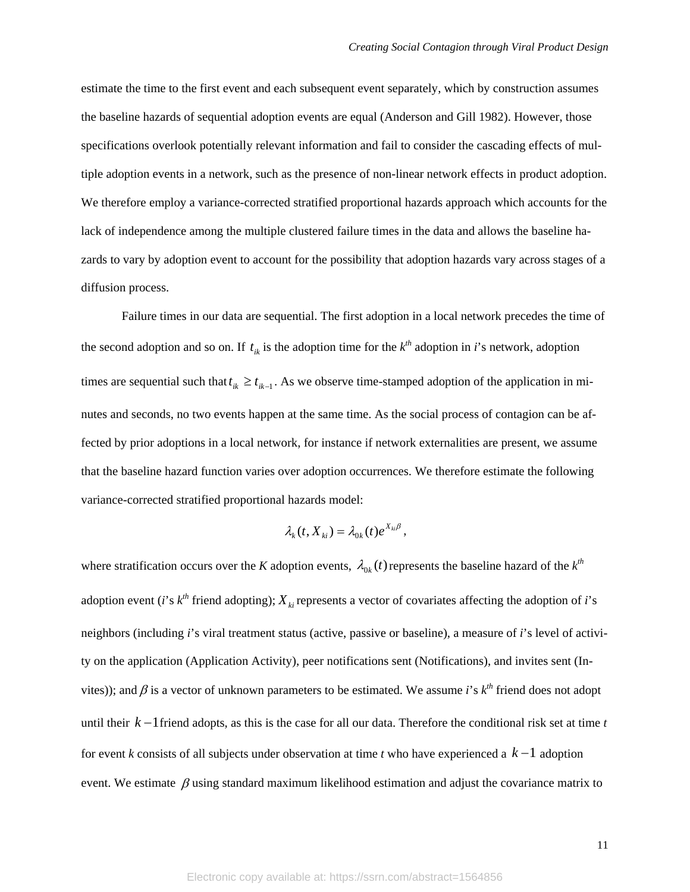estimate the time to the first event and each subsequent event separately, which by construction assumes the baseline hazards of sequential adoption events are equal (Anderson and Gill 1982). However, those specifications overlook potentially relevant information and fail to consider the cascading effects of multiple adoption events in a network, such as the presence of non-linear network effects in product adoption. We therefore employ a variance-corrected stratified proportional hazards approach which accounts for the lack of independence among the multiple clustered failure times in the data and allows the baseline hazards to vary by adoption event to account for the possibility that adoption hazards vary across stages of a diffusion process.

Failure times in our data are sequential. The first adoption in a local network precedes the time of the second adoption and so on. If  $t_{ik}$  is the adoption time for the  $k^{th}$  adoption in *i*'s network, adoption times are sequential such that  $t_{ik} \geq t_{ik-1}$ . As we observe time-stamped adoption of the application in minutes and seconds, no two events happen at the same time. As the social process of contagion can be affected by prior adoptions in a local network, for instance if network externalities are present, we assume that the baseline hazard function varies over adoption occurrences. We therefore estimate the following variance-corrected stratified proportional hazards model:

$$
\lambda_k(t, X_{ki}) = \lambda_{0k}(t)e^{X_{ki}\beta},
$$

where stratification occurs over the *K* adoption events,  $\lambda_{0k}(t)$  represents the baseline hazard of the  $k^{th}$ adoption event (*i*'s  $k^{th}$  friend adopting);  $X_{ki}$  represents a vector of covariates affecting the adoption of *i*'s neighbors (including *i*'s viral treatment status (active, passive or baseline), a measure of *i*'s level of activity on the application (Application Activity), peer notifications sent (Notifications), and invites sent (Invites)); and  $\beta$  is a vector of unknown parameters to be estimated. We assume *i*'s  $k^{th}$  friend does not adopt until their *k* −1friend adopts, as this is the case for all our data. Therefore the conditional risk set at time *t*  for event *k* consists of all subjects under observation at time *t* who have experienced a *k* −1 adoption event. We estimate  $\beta$  using standard maximum likelihood estimation and adjust the covariance matrix to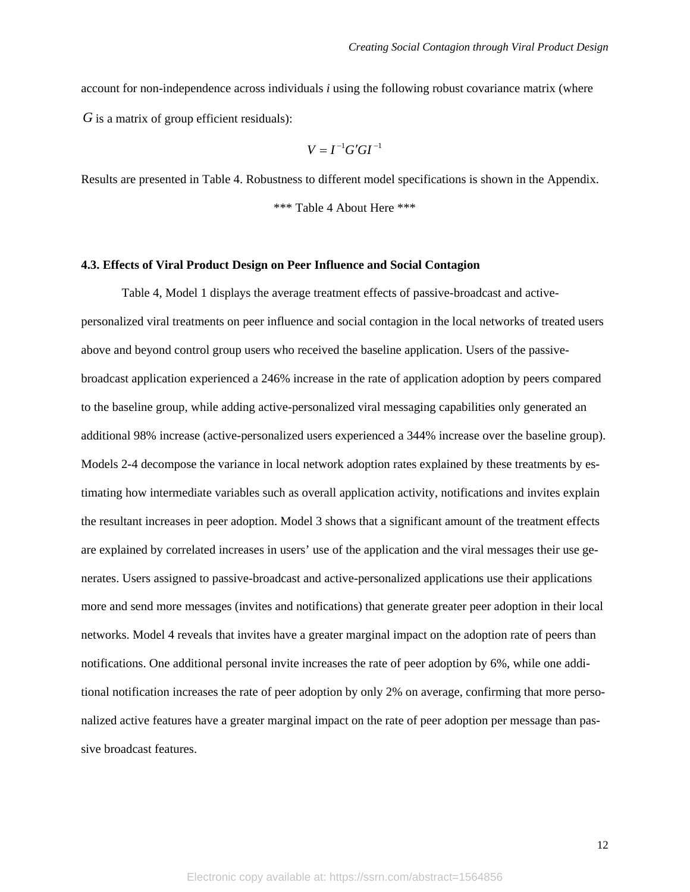account for non-independence across individuals *i* using the following robust covariance matrix (where *G* is a matrix of group efficient residuals):

$$
V = I^{-1}G'GI^{-1}
$$

Results are presented in Table 4. Robustness to different model specifications is shown in the Appendix.

\*\*\* Table 4 About Here \*\*\*

#### **4.3. Effects of Viral Product Design on Peer Influence and Social Contagion**

Table 4, Model 1 displays the average treatment effects of passive-broadcast and activepersonalized viral treatments on peer influence and social contagion in the local networks of treated users above and beyond control group users who received the baseline application. Users of the passivebroadcast application experienced a 246% increase in the rate of application adoption by peers compared to the baseline group, while adding active-personalized viral messaging capabilities only generated an additional 98% increase (active-personalized users experienced a 344% increase over the baseline group). Models 2-4 decompose the variance in local network adoption rates explained by these treatments by estimating how intermediate variables such as overall application activity, notifications and invites explain the resultant increases in peer adoption. Model 3 shows that a significant amount of the treatment effects are explained by correlated increases in users' use of the application and the viral messages their use generates. Users assigned to passive-broadcast and active-personalized applications use their applications more and send more messages (invites and notifications) that generate greater peer adoption in their local networks. Model 4 reveals that invites have a greater marginal impact on the adoption rate of peers than notifications. One additional personal invite increases the rate of peer adoption by 6%, while one additional notification increases the rate of peer adoption by only 2% on average, confirming that more personalized active features have a greater marginal impact on the rate of peer adoption per message than passive broadcast features.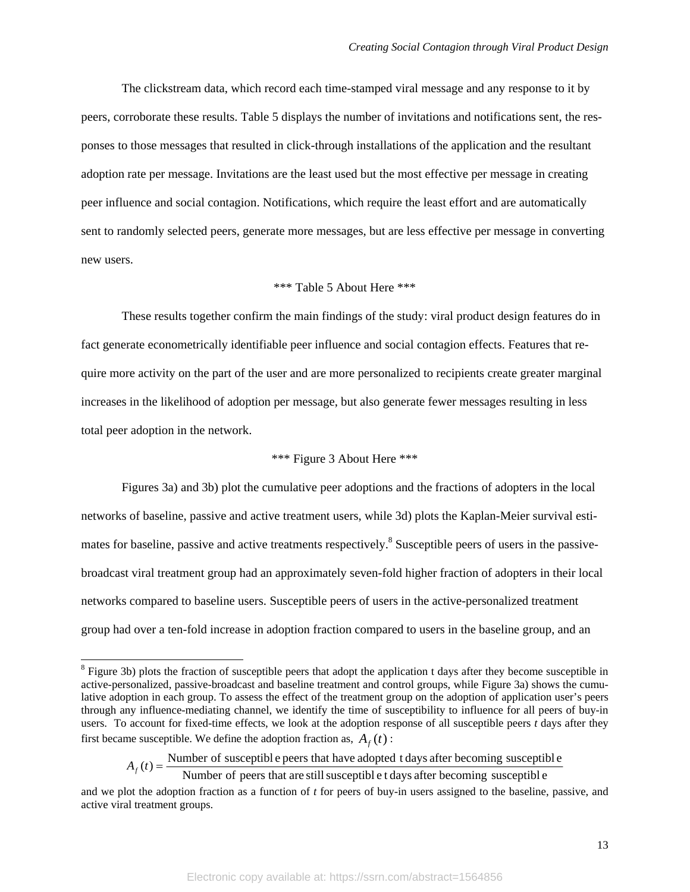The clickstream data, which record each time-stamped viral message and any response to it by peers, corroborate these results. Table 5 displays the number of invitations and notifications sent, the responses to those messages that resulted in click-through installations of the application and the resultant adoption rate per message. Invitations are the least used but the most effective per message in creating peer influence and social contagion. Notifications, which require the least effort and are automatically sent to randomly selected peers, generate more messages, but are less effective per message in converting new users.

# \*\*\* Table 5 About Here \*\*\*

 These results together confirm the main findings of the study: viral product design features do in fact generate econometrically identifiable peer influence and social contagion effects. Features that require more activity on the part of the user and are more personalized to recipients create greater marginal increases in the likelihood of adoption per message, but also generate fewer messages resulting in less total peer adoption in the network.

# \*\*\* Figure 3 About Here \*\*\*

Figures 3a) and 3b) plot the cumulative peer adoptions and the fractions of adopters in the local networks of baseline, passive and active treatment users, while 3d) plots the Kaplan-Meier survival estimates for baseline, passive and active treatments respectively.<sup>8</sup> Susceptible peers of users in the passivebroadcast viral treatment group had an approximately seven-fold higher fraction of adopters in their local networks compared to baseline users. Susceptible peers of users in the active-personalized treatment group had over a ten-fold increase in adoption fraction compared to users in the baseline group, and an

 $\overline{\phantom{a}}$ 

 $8$  Figure 3b) plots the fraction of susceptible peers that adopt the application t days after they become susceptible in active-personalized, passive-broadcast and baseline treatment and control groups, while Figure 3a) shows the cumulative adoption in each group. To assess the effect of the treatment group on the adoption of application user's peers through any influence-mediating channel, we identify the time of susceptibility to influence for all peers of buy-in users. To account for fixed-time effects, we look at the adoption response of all susceptible peers *t* days after they first became susceptible. We define the adoption fraction as,  $A_f(t)$ :

 $A_f(t) = \frac{\text{Number of susceptible peers that have adopted t days after becoming susceptible}}{\text{Number of peers that are still susceptible t days after becoming susceptible}}$ 

and we plot the adoption fraction as a function of *t* for peers of buy-in users assigned to the baseline, passive, and active viral treatment groups.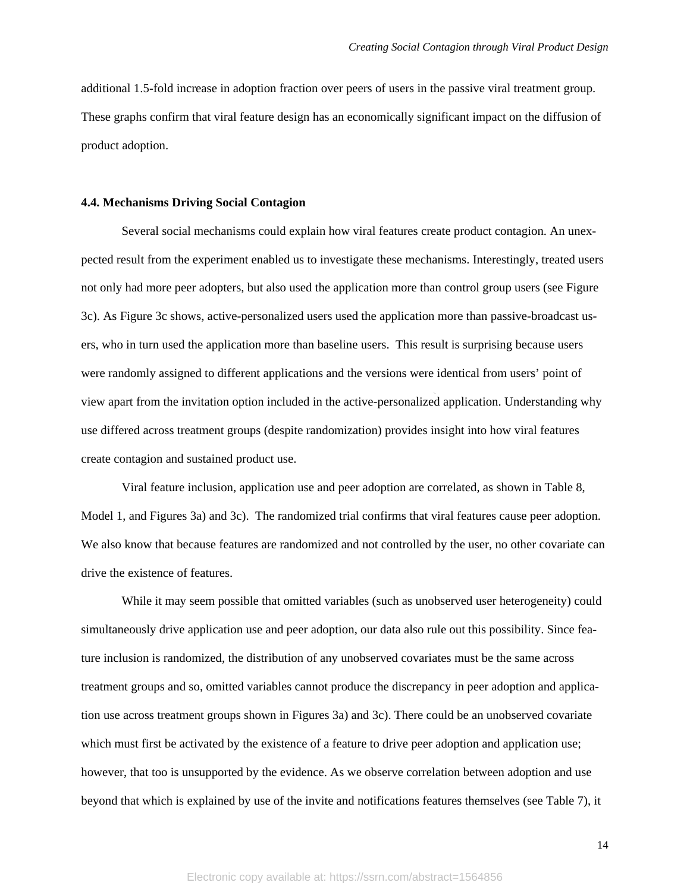additional 1.5-fold increase in adoption fraction over peers of users in the passive viral treatment group. These graphs confirm that viral feature design has an economically significant impact on the diffusion of product adoption.

#### **4.4. Mechanisms Driving Social Contagion**

Several social mechanisms could explain how viral features create product contagion. An unexpected result from the experiment enabled us to investigate these mechanisms. Interestingly, treated users not only had more peer adopters, but also used the application more than control group users (see Figure 3c). As Figure 3c shows, active-personalized users used the application more than passive-broadcast users, who in turn used the application more than baseline users. This result is surprising because users were randomly assigned to different applications and the versions were identical from users' point of view apart from the invitation option included in the active-personalized application. Understanding why use differed across treatment groups (despite randomization) provides insight into how viral features create contagion and sustained product use.

Viral feature inclusion, application use and peer adoption are correlated, as shown in Table 8, Model 1, and Figures 3a) and 3c). The randomized trial confirms that viral features cause peer adoption. We also know that because features are randomized and not controlled by the user, no other covariate can drive the existence of features.

While it may seem possible that omitted variables (such as unobserved user heterogeneity) could simultaneously drive application use and peer adoption, our data also rule out this possibility. Since feature inclusion is randomized, the distribution of any unobserved covariates must be the same across treatment groups and so, omitted variables cannot produce the discrepancy in peer adoption and application use across treatment groups shown in Figures 3a) and 3c). There could be an unobserved covariate which must first be activated by the existence of a feature to drive peer adoption and application use; however, that too is unsupported by the evidence. As we observe correlation between adoption and use beyond that which is explained by use of the invite and notifications features themselves (see Table 7), it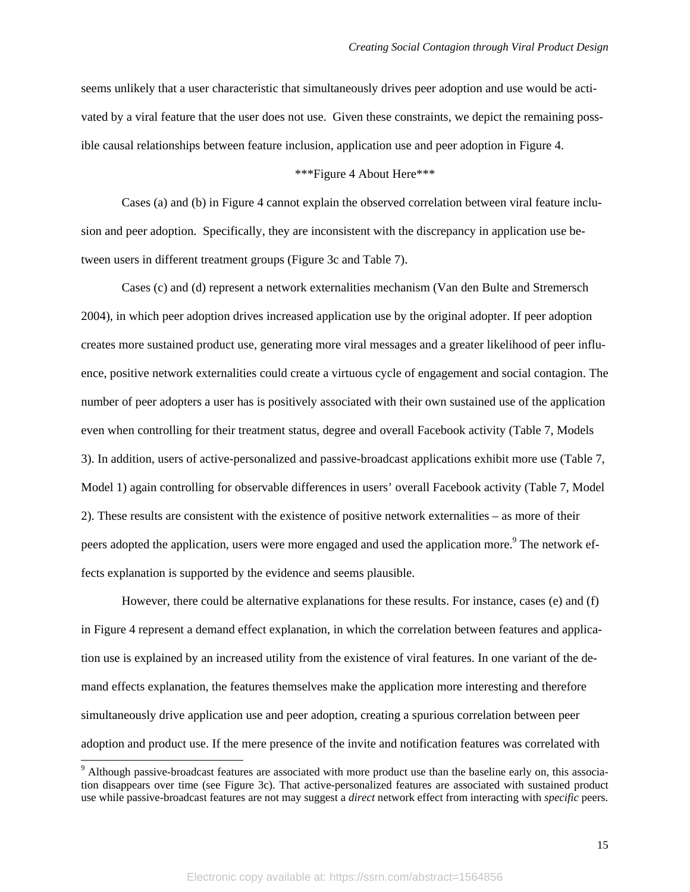seems unlikely that a user characteristic that simultaneously drives peer adoption and use would be activated by a viral feature that the user does not use. Given these constraints, we depict the remaining possible causal relationships between feature inclusion, application use and peer adoption in Figure 4.

# \*\*\*Figure 4 About Here\*\*\*

Cases (a) and (b) in Figure 4 cannot explain the observed correlation between viral feature inclusion and peer adoption. Specifically, they are inconsistent with the discrepancy in application use between users in different treatment groups (Figure 3c and Table 7).

Cases (c) and (d) represent a network externalities mechanism (Van den Bulte and Stremersch 2004), in which peer adoption drives increased application use by the original adopter. If peer adoption creates more sustained product use, generating more viral messages and a greater likelihood of peer influence, positive network externalities could create a virtuous cycle of engagement and social contagion. The number of peer adopters a user has is positively associated with their own sustained use of the application even when controlling for their treatment status, degree and overall Facebook activity (Table 7, Models 3). In addition, users of active-personalized and passive-broadcast applications exhibit more use (Table 7, Model 1) again controlling for observable differences in users' overall Facebook activity (Table 7, Model 2). These results are consistent with the existence of positive network externalities – as more of their peers adopted the application, users were more engaged and used the application more.<sup>9</sup> The network effects explanation is supported by the evidence and seems plausible.

However, there could be alternative explanations for these results. For instance, cases (e) and (f) in Figure 4 represent a demand effect explanation, in which the correlation between features and application use is explained by an increased utility from the existence of viral features. In one variant of the demand effects explanation, the features themselves make the application more interesting and therefore simultaneously drive application use and peer adoption, creating a spurious correlation between peer adoption and product use. If the mere presence of the invite and notification features was correlated with

l

<sup>&</sup>lt;sup>9</sup> Although passive-broadcast features are associated with more product use than the baseline early on, this association disappears over time (see Figure 3c). That active-personalized features are associated with sustained product use while passive-broadcast features are not may suggest a *direct* network effect from interacting with *specific* peers.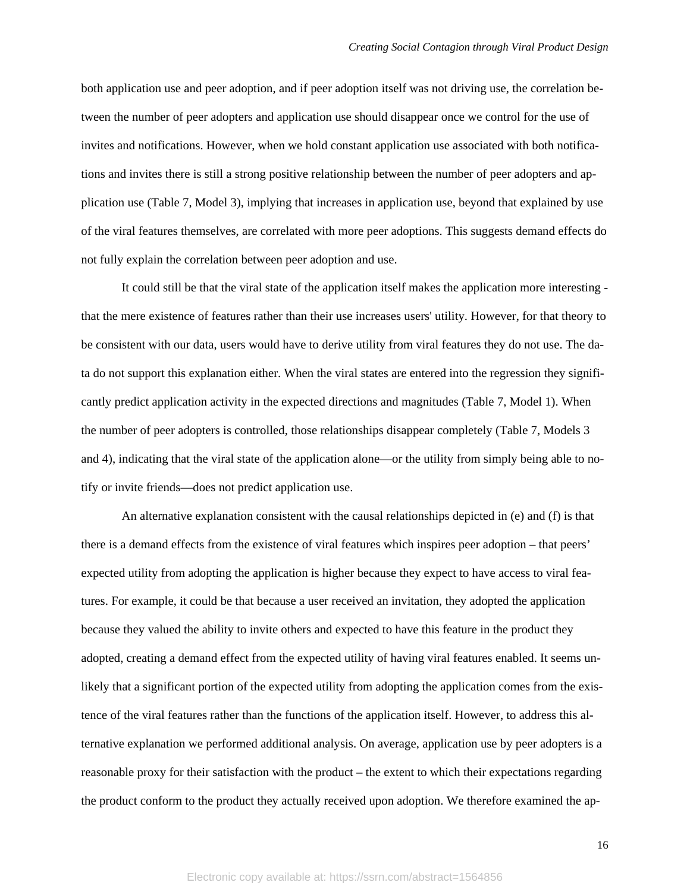both application use and peer adoption, and if peer adoption itself was not driving use, the correlation between the number of peer adopters and application use should disappear once we control for the use of invites and notifications. However, when we hold constant application use associated with both notifications and invites there is still a strong positive relationship between the number of peer adopters and application use (Table 7, Model 3), implying that increases in application use, beyond that explained by use of the viral features themselves, are correlated with more peer adoptions. This suggests demand effects do not fully explain the correlation between peer adoption and use.

It could still be that the viral state of the application itself makes the application more interesting that the mere existence of features rather than their use increases users' utility. However, for that theory to be consistent with our data, users would have to derive utility from viral features they do not use. The data do not support this explanation either. When the viral states are entered into the regression they significantly predict application activity in the expected directions and magnitudes (Table 7, Model 1). When the number of peer adopters is controlled, those relationships disappear completely (Table 7, Models 3 and 4), indicating that the viral state of the application alone—or the utility from simply being able to notify or invite friends—does not predict application use.

An alternative explanation consistent with the causal relationships depicted in (e) and (f) is that there is a demand effects from the existence of viral features which inspires peer adoption – that peers' expected utility from adopting the application is higher because they expect to have access to viral features. For example, it could be that because a user received an invitation, they adopted the application because they valued the ability to invite others and expected to have this feature in the product they adopted, creating a demand effect from the expected utility of having viral features enabled. It seems unlikely that a significant portion of the expected utility from adopting the application comes from the existence of the viral features rather than the functions of the application itself. However, to address this alternative explanation we performed additional analysis. On average, application use by peer adopters is a reasonable proxy for their satisfaction with the product – the extent to which their expectations regarding the product conform to the product they actually received upon adoption. We therefore examined the ap-

16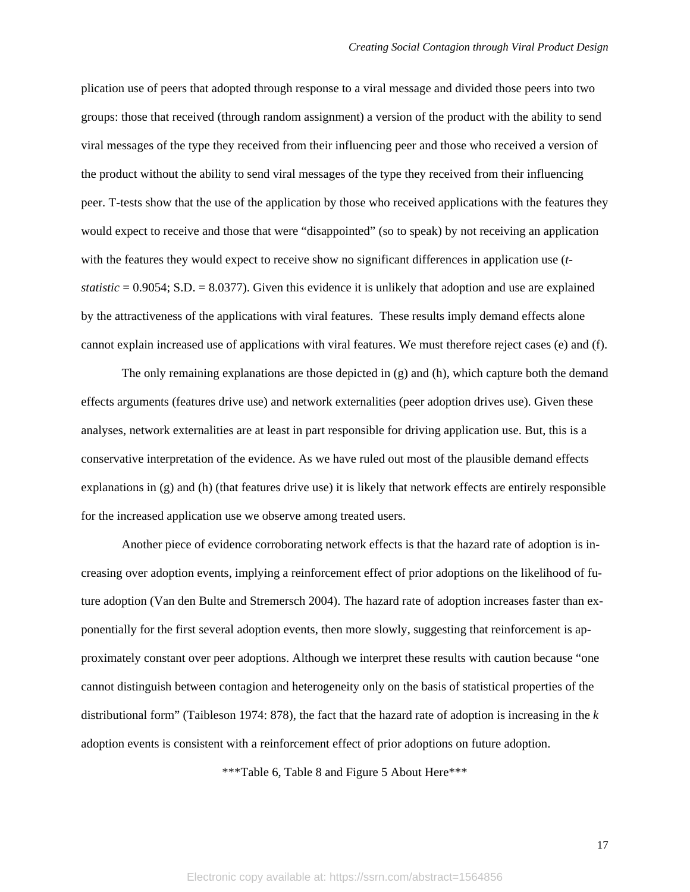plication use of peers that adopted through response to a viral message and divided those peers into two groups: those that received (through random assignment) a version of the product with the ability to send viral messages of the type they received from their influencing peer and those who received a version of the product without the ability to send viral messages of the type they received from their influencing peer. T-tests show that the use of the application by those who received applications with the features they would expect to receive and those that were "disappointed" (so to speak) by not receiving an application with the features they would expect to receive show no significant differences in application use (*tstatistic* =  $0.9054$ ; S.D. =  $8.0377$ . Given this evidence it is unlikely that adoption and use are explained by the attractiveness of the applications with viral features. These results imply demand effects alone cannot explain increased use of applications with viral features. We must therefore reject cases (e) and (f).

The only remaining explanations are those depicted in  $(g)$  and  $(h)$ , which capture both the demand effects arguments (features drive use) and network externalities (peer adoption drives use). Given these analyses, network externalities are at least in part responsible for driving application use. But, this is a conservative interpretation of the evidence. As we have ruled out most of the plausible demand effects explanations in (g) and (h) (that features drive use) it is likely that network effects are entirely responsible for the increased application use we observe among treated users.

Another piece of evidence corroborating network effects is that the hazard rate of adoption is increasing over adoption events, implying a reinforcement effect of prior adoptions on the likelihood of future adoption (Van den Bulte and Stremersch 2004). The hazard rate of adoption increases faster than exponentially for the first several adoption events, then more slowly, suggesting that reinforcement is approximately constant over peer adoptions. Although we interpret these results with caution because "one cannot distinguish between contagion and heterogeneity only on the basis of statistical properties of the distributional form" (Taibleson 1974: 878), the fact that the hazard rate of adoption is increasing in the *k* adoption events is consistent with a reinforcement effect of prior adoptions on future adoption.

\*\*\*Table 6, Table 8 and Figure 5 About Here\*\*\*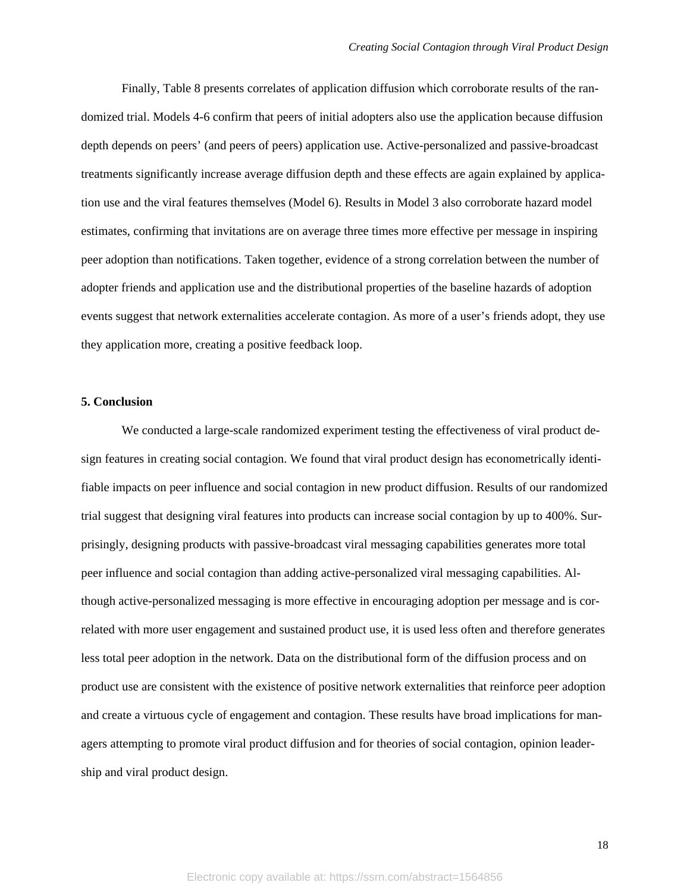Finally, Table 8 presents correlates of application diffusion which corroborate results of the randomized trial. Models 4-6 confirm that peers of initial adopters also use the application because diffusion depth depends on peers' (and peers of peers) application use. Active-personalized and passive-broadcast treatments significantly increase average diffusion depth and these effects are again explained by application use and the viral features themselves (Model 6). Results in Model 3 also corroborate hazard model estimates, confirming that invitations are on average three times more effective per message in inspiring peer adoption than notifications. Taken together, evidence of a strong correlation between the number of adopter friends and application use and the distributional properties of the baseline hazards of adoption events suggest that network externalities accelerate contagion. As more of a user's friends adopt, they use they application more, creating a positive feedback loop.

## **5. Conclusion**

 We conducted a large-scale randomized experiment testing the effectiveness of viral product design features in creating social contagion. We found that viral product design has econometrically identifiable impacts on peer influence and social contagion in new product diffusion. Results of our randomized trial suggest that designing viral features into products can increase social contagion by up to 400%. Surprisingly, designing products with passive-broadcast viral messaging capabilities generates more total peer influence and social contagion than adding active-personalized viral messaging capabilities. Although active-personalized messaging is more effective in encouraging adoption per message and is correlated with more user engagement and sustained product use, it is used less often and therefore generates less total peer adoption in the network. Data on the distributional form of the diffusion process and on product use are consistent with the existence of positive network externalities that reinforce peer adoption and create a virtuous cycle of engagement and contagion. These results have broad implications for managers attempting to promote viral product diffusion and for theories of social contagion, opinion leadership and viral product design.

18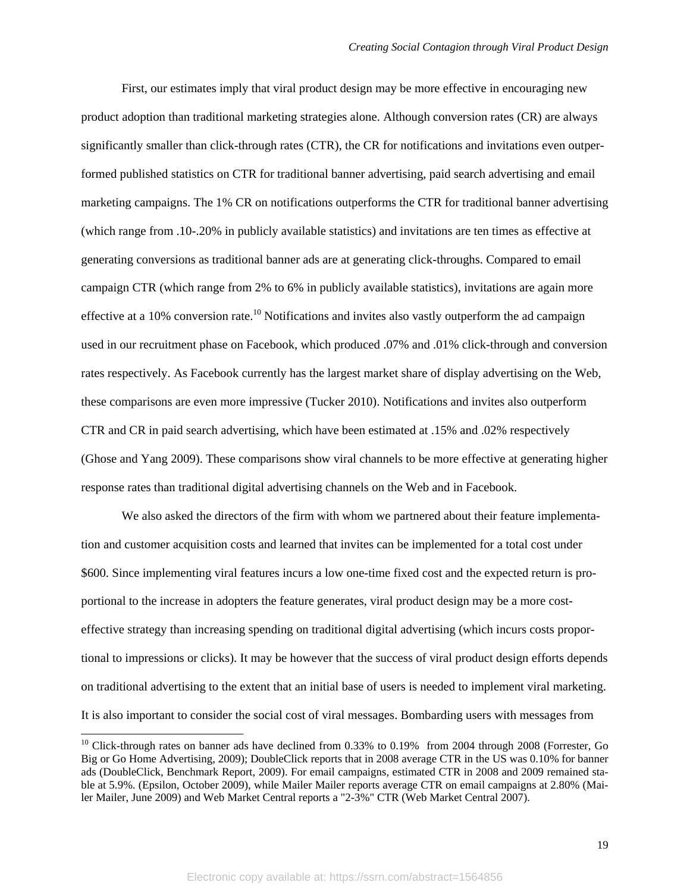First, our estimates imply that viral product design may be more effective in encouraging new product adoption than traditional marketing strategies alone. Although conversion rates (CR) are always significantly smaller than click-through rates (CTR), the CR for notifications and invitations even outperformed published statistics on CTR for traditional banner advertising, paid search advertising and email marketing campaigns. The 1% CR on notifications outperforms the CTR for traditional banner advertising (which range from .10-.20% in publicly available statistics) and invitations are ten times as effective at generating conversions as traditional banner ads are at generating click-throughs. Compared to email campaign CTR (which range from 2% to 6% in publicly available statistics), invitations are again more effective at a 10% conversion rate.<sup>10</sup> Notifications and invites also vastly outperform the ad campaign used in our recruitment phase on Facebook, which produced .07% and .01% click-through and conversion rates respectively. As Facebook currently has the largest market share of display advertising on the Web, these comparisons are even more impressive (Tucker 2010). Notifications and invites also outperform CTR and CR in paid search advertising, which have been estimated at .15% and .02% respectively (Ghose and Yang 2009). These comparisons show viral channels to be more effective at generating higher response rates than traditional digital advertising channels on the Web and in Facebook.

We also asked the directors of the firm with whom we partnered about their feature implementation and customer acquisition costs and learned that invites can be implemented for a total cost under \$600. Since implementing viral features incurs a low one-time fixed cost and the expected return is proportional to the increase in adopters the feature generates, viral product design may be a more costeffective strategy than increasing spending on traditional digital advertising (which incurs costs proportional to impressions or clicks). It may be however that the success of viral product design efforts depends on traditional advertising to the extent that an initial base of users is needed to implement viral marketing. It is also important to consider the social cost of viral messages. Bombarding users with messages from

 $\overline{\phantom{a}}$ 

<sup>&</sup>lt;sup>10</sup> Click-through rates on banner ads have declined from 0.33% to 0.19% from 2004 through 2008 (Forrester, Go Big or Go Home Advertising, 2009); DoubleClick reports that in 2008 average CTR in the US was 0.10% for banner ads (DoubleClick, Benchmark Report, 2009). For email campaigns, estimated CTR in 2008 and 2009 remained stable at 5.9%. (Epsilon, October 2009), while Mailer Mailer reports average CTR on email campaigns at 2.80% (Mailer Mailer, June 2009) and Web Market Central reports a "2-3%" CTR (Web Market Central 2007).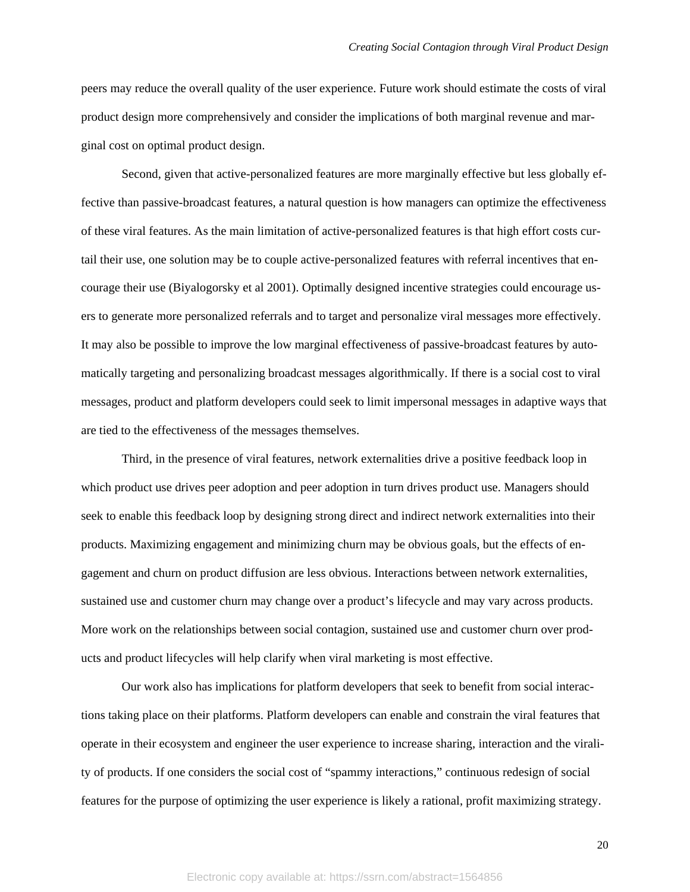peers may reduce the overall quality of the user experience. Future work should estimate the costs of viral product design more comprehensively and consider the implications of both marginal revenue and marginal cost on optimal product design.

Second, given that active-personalized features are more marginally effective but less globally effective than passive-broadcast features, a natural question is how managers can optimize the effectiveness of these viral features. As the main limitation of active-personalized features is that high effort costs curtail their use, one solution may be to couple active-personalized features with referral incentives that encourage their use (Biyalogorsky et al 2001). Optimally designed incentive strategies could encourage users to generate more personalized referrals and to target and personalize viral messages more effectively. It may also be possible to improve the low marginal effectiveness of passive-broadcast features by automatically targeting and personalizing broadcast messages algorithmically. If there is a social cost to viral messages, product and platform developers could seek to limit impersonal messages in adaptive ways that are tied to the effectiveness of the messages themselves.

Third, in the presence of viral features, network externalities drive a positive feedback loop in which product use drives peer adoption and peer adoption in turn drives product use. Managers should seek to enable this feedback loop by designing strong direct and indirect network externalities into their products. Maximizing engagement and minimizing churn may be obvious goals, but the effects of engagement and churn on product diffusion are less obvious. Interactions between network externalities, sustained use and customer churn may change over a product's lifecycle and may vary across products. More work on the relationships between social contagion, sustained use and customer churn over products and product lifecycles will help clarify when viral marketing is most effective.

Our work also has implications for platform developers that seek to benefit from social interactions taking place on their platforms. Platform developers can enable and constrain the viral features that operate in their ecosystem and engineer the user experience to increase sharing, interaction and the virality of products. If one considers the social cost of "spammy interactions," continuous redesign of social features for the purpose of optimizing the user experience is likely a rational, profit maximizing strategy.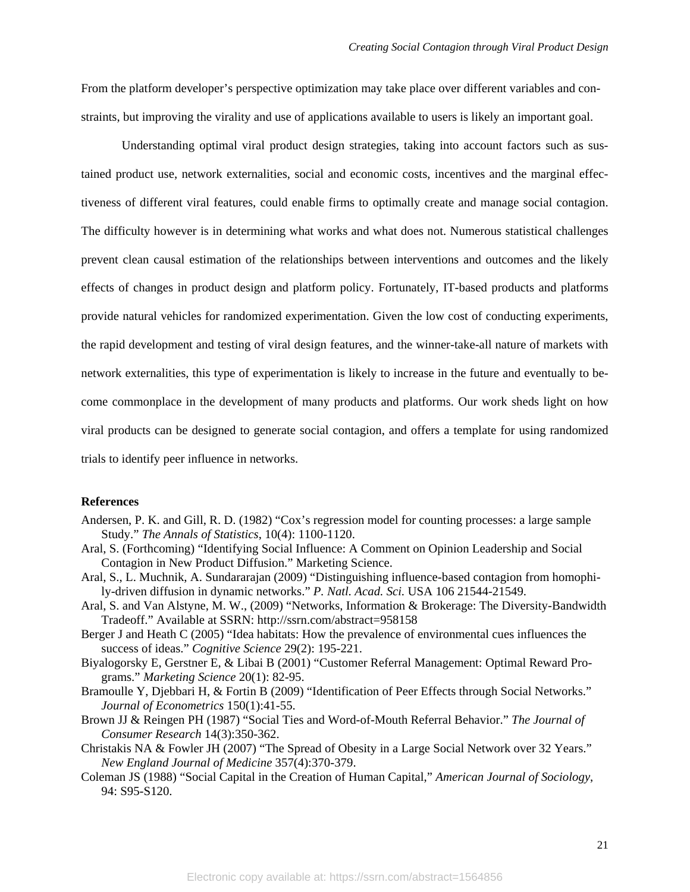From the platform developer's perspective optimization may take place over different variables and constraints, but improving the virality and use of applications available to users is likely an important goal.

Understanding optimal viral product design strategies, taking into account factors such as sustained product use, network externalities, social and economic costs, incentives and the marginal effectiveness of different viral features, could enable firms to optimally create and manage social contagion. The difficulty however is in determining what works and what does not. Numerous statistical challenges prevent clean causal estimation of the relationships between interventions and outcomes and the likely effects of changes in product design and platform policy. Fortunately, IT-based products and platforms provide natural vehicles for randomized experimentation. Given the low cost of conducting experiments, the rapid development and testing of viral design features, and the winner-take-all nature of markets with network externalities, this type of experimentation is likely to increase in the future and eventually to become commonplace in the development of many products and platforms. Our work sheds light on how viral products can be designed to generate social contagion, and offers a template for using randomized trials to identify peer influence in networks.

#### **References**

- Andersen, P. K. and Gill, R. D. (1982) "Cox's regression model for counting processes: a large sample Study." *The Annals of Statistics*, 10(4): 1100-1120.
- Aral, S. (Forthcoming) "Identifying Social Influence: A Comment on Opinion Leadership and Social Contagion in New Product Diffusion." Marketing Science.
- Aral, S., L. Muchnik, A. Sundararajan (2009) "Distinguishing influence-based contagion from homophily-driven diffusion in dynamic networks." *P. Natl. Acad. Sci.* USA 106 21544-21549.
- Aral, S. and Van Alstyne, M. W., (2009) "Networks, Information & Brokerage: The Diversity-Bandwidth Tradeoff." Available at SSRN: http://ssrn.com/abstract=958158
- Berger J and Heath C (2005) "Idea habitats: How the prevalence of environmental cues influences the success of ideas." *Cognitive Science* 29(2): 195-221.
- Biyalogorsky E, Gerstner E, & Libai B (2001) "Customer Referral Management: Optimal Reward Programs." *Marketing Science* 20(1): 82-95.
- Bramoulle Y, Djebbari H, & Fortin B (2009) "Identification of Peer Effects through Social Networks." *Journal of Econometrics* 150(1):41-55.
- Brown JJ & Reingen PH (1987) "Social Ties and Word-of-Mouth Referral Behavior." *The Journal of Consumer Research* 14(3):350-362.
- Christakis NA & Fowler JH (2007) "The Spread of Obesity in a Large Social Network over 32 Years." *New England Journal of Medicine* 357(4):370-379.
- Coleman JS (1988) "Social Capital in the Creation of Human Capital," *American Journal of Sociology*, 94: S95-S120.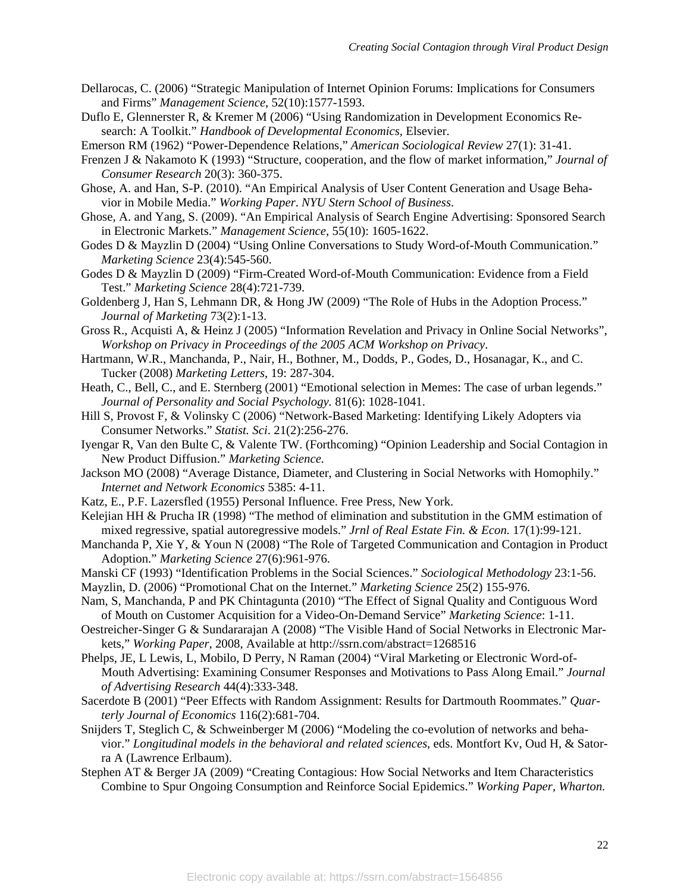- Dellarocas, C. (2006) "Strategic Manipulation of Internet Opinion Forums: Implications for Consumers and Firms" *Management Science*, 52(10):1577-1593.
- Duflo E, Glennerster R, & Kremer M (2006) "Using Randomization in Development Economics Research: A Toolkit." *Handbook of Developmental Economics,* Elsevier.
- Emerson RM (1962) "Power-Dependence Relations," *American Sociological Review* 27(1): 31-41.
- Frenzen J & Nakamoto K (1993) "Structure, cooperation, and the flow of market information," *Journal of Consumer Research* 20(3): 360-375.
- Ghose, A. and Han, S-P. (2010). "An Empirical Analysis of User Content Generation and Usage Behavior in Mobile Media." *Working Paper*. *NYU Stern School of Business*.
- Ghose, A. and Yang, S. (2009). "An Empirical Analysis of Search Engine Advertising: Sponsored Search in Electronic Markets." *Management Science*, 55(10): 1605-1622.
- Godes D & Mayzlin D (2004) "Using Online Conversations to Study Word-of-Mouth Communication." *Marketing Science* 23(4):545-560.
- Godes D & Mayzlin D (2009) "Firm-Created Word-of-Mouth Communication: Evidence from a Field Test." *Marketing Science* 28(4):721-739.
- Goldenberg J, Han S, Lehmann DR, & Hong JW (2009) "The Role of Hubs in the Adoption Process." *Journal of Marketing* 73(2):1-13.
- Gross R., Acquisti A, & Heinz J (2005) "Information Revelation and Privacy in Online Social Networks", *Workshop on Privacy in Proceedings of the 2005 ACM Workshop on Privacy*.
- Hartmann, W.R., Manchanda, P., Nair, H., Bothner, M., Dodds, P., Godes, D., Hosanagar, K., and C. Tucker (2008) *Marketing Letters*, 19: 287-304.
- Heath, C., Bell, C., and E. Sternberg (2001) "Emotional selection in Memes: The case of urban legends." *Journal of Personality and Social Psychology.* 81(6): 1028-1041.
- Hill S, Provost F, & Volinsky C (2006) "Network-Based Marketing: Identifying Likely Adopters via Consumer Networks." *Statist. Sci*. 21(2):256-276.
- Iyengar R, Van den Bulte C, & Valente TW. (Forthcoming) "Opinion Leadership and Social Contagion in New Product Diffusion." *Marketing Science.*
- Jackson MO (2008) "Average Distance, Diameter, and Clustering in Social Networks with Homophily." *Internet and Network Economics* 5385: 4-11.
- Katz, E., P.F. Lazersfled (1955) Personal Influence. Free Press, New York.
- Kelejian HH & Prucha IR (1998) "The method of elimination and substitution in the GMM estimation of mixed regressive, spatial autoregressive models." *Jrnl of Real Estate Fin. & Econ.* 17(1):99-121.
- Manchanda P, Xie Y, & Youn N (2008) "The Role of Targeted Communication and Contagion in Product Adoption." *Marketing Science* 27(6):961-976.
- Manski CF (1993) "Identification Problems in the Social Sciences." *Sociological Methodology* 23:1-56.
- Mayzlin, D. (2006) "Promotional Chat on the Internet." *Marketing Science* 25(2) 155-976.
- Nam, S, Manchanda, P and PK Chintagunta (2010) "The Effect of Signal Quality and Contiguous Word of Mouth on Customer Acquisition for a Video-On-Demand Service" *Marketing Science*: 1-11.
- Oestreicher-Singer G & Sundararajan A (2008) "The Visible Hand of Social Networks in Electronic Markets," *Working Paper*, 2008, Available at http://ssrn.com/abstract=1268516
- Phelps, JE, L Lewis, L, Mobilo, D Perry, N Raman (2004) "Viral Marketing or Electronic Word-of-Mouth Advertising: Examining Consumer Responses and Motivations to Pass Along Email." *Journal of Advertising Research* 44(4):333-348.
- Sacerdote B (2001) "Peer Effects with Random Assignment: Results for Dartmouth Roommates." *Quarterly Journal of Economics* 116(2):681-704.
- Snijders T, Steglich C, & Schweinberger M (2006) "Modeling the co-evolution of networks and behavior." *Longitudinal models in the behavioral and related sciences*, eds. Montfort Kv, Oud H, & Satorra A (Lawrence Erlbaum).
- Stephen AT & Berger JA (2009) "Creating Contagious: How Social Networks and Item Characteristics Combine to Spur Ongoing Consumption and Reinforce Social Epidemics." *Working Paper, Wharton.*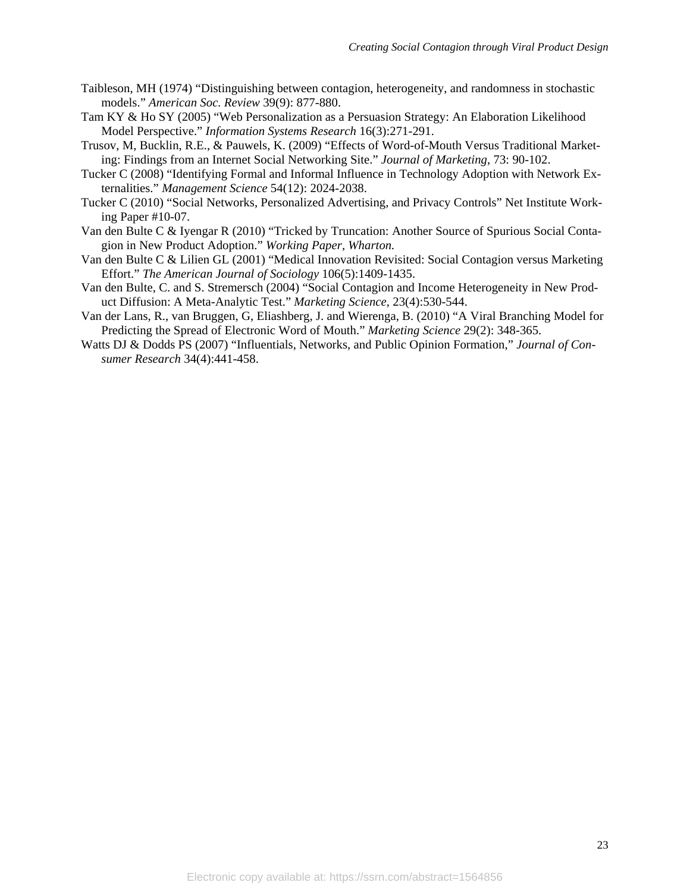- Taibleson, MH (1974) "Distinguishing between contagion, heterogeneity, and randomness in stochastic models." *American Soc. Review* 39(9): 877-880.
- Tam KY & Ho SY (2005) "Web Personalization as a Persuasion Strategy: An Elaboration Likelihood Model Perspective." *Information Systems Research* 16(3):271-291.
- Trusov, M, Bucklin, R.E., & Pauwels, K. (2009) "Effects of Word-of-Mouth Versus Traditional Marketing: Findings from an Internet Social Networking Site." *Journal of Marketing*, 73: 90-102.
- Tucker C (2008) "Identifying Formal and Informal Influence in Technology Adoption with Network Externalities." *Management Science* 54(12): 2024-2038.
- Tucker C (2010) "Social Networks, Personalized Advertising, and Privacy Controls" Net Institute Working Paper #10-07.
- Van den Bulte C & Iyengar R (2010) "Tricked by Truncation: Another Source of Spurious Social Contagion in New Product Adoption." *Working Paper, Wharton.*
- Van den Bulte C & Lilien GL (2001) "Medical Innovation Revisited: Social Contagion versus Marketing Effort." *The American Journal of Sociology* 106(5):1409-1435.
- Van den Bulte, C. and S. Stremersch (2004) "Social Contagion and Income Heterogeneity in New Product Diffusion: A Meta-Analytic Test." *Marketing Science,* 23(4):530-544.
- Van der Lans, R., van Bruggen, G, Eliashberg, J. and Wierenga, B. (2010) "A Viral Branching Model for Predicting the Spread of Electronic Word of Mouth." *Marketing Science* 29(2): 348-365.
- Watts DJ & Dodds PS (2007) "Influentials, Networks, and Public Opinion Formation," *Journal of Consumer Research* 34(4):441-458.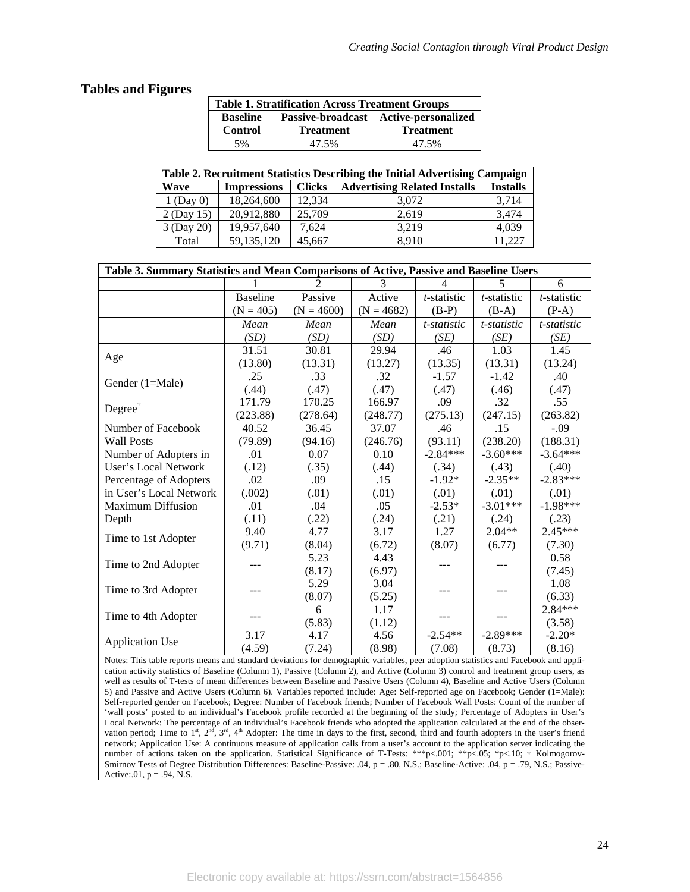# **Tables and Figures**

| <b>Table 1. Stratification Across Treatment Groups</b> |                                         |                  |  |  |  |  |
|--------------------------------------------------------|-----------------------------------------|------------------|--|--|--|--|
| <b>Baseline</b>                                        | Passive-broadcast   Active-personalized |                  |  |  |  |  |
| <b>Control</b>                                         | <b>Treatment</b>                        | <b>Treatment</b> |  |  |  |  |
| 5%                                                     | 47.5%                                   | 47.5%            |  |  |  |  |

| Table 2. Recruitment Statistics Describing the Initial Advertising Campaign |                    |               |                                     |                 |  |  |  |
|-----------------------------------------------------------------------------|--------------------|---------------|-------------------------------------|-----------------|--|--|--|
| Wave                                                                        | <b>Impressions</b> | <b>Clicks</b> | <b>Advertising Related Installs</b> | <b>Installs</b> |  |  |  |
| $1$ (Day 0)                                                                 | 18,264,600         | 12.334        | 3.072                               | 3,714           |  |  |  |
| 2 (Day 15)                                                                  | 20,912,880         | 25,709        | 2,619                               | 3,474           |  |  |  |
| 3 (Day 20)                                                                  | 19,957,640         | 7.624         | 3.219                               | 4,039           |  |  |  |
| Total                                                                       | 59,135,120         | 45,667        | 8.910                               | 11.227          |  |  |  |

| Table 3. Summary Statistics and Mean Comparisons of Active, Passive and Baseline Users |                 |                                                 |              |             |             |             |  |
|----------------------------------------------------------------------------------------|-----------------|-------------------------------------------------|--------------|-------------|-------------|-------------|--|
|                                                                                        |                 | $\overline{c}$<br>3<br>5<br>$\overline{4}$<br>6 |              |             |             |             |  |
|                                                                                        | <b>Baseline</b> | Passive                                         | Active       | t-statistic | t-statistic | t-statistic |  |
|                                                                                        | $(N = 405)$     | $(N = 4600)$                                    | $(N = 4682)$ | $(B-P)$     | $(B-A)$     | $(P-A)$     |  |
|                                                                                        | Mean            | Mean                                            | Mean         | t-statistic | t-statistic | t-statistic |  |
|                                                                                        | (SD)            | (SD)                                            | (SD)         | (SE)        | (SE)        | (SE)        |  |
|                                                                                        | 31.51           | 30.81                                           | 29.94        | .46         | 1.03        | 1.45        |  |
| Age                                                                                    | (13.80)         | (13.31)                                         | (13.27)      | (13.35)     | (13.31)     | (13.24)     |  |
|                                                                                        | .25             | .33                                             | .32          | $-1.57$     | $-1.42$     | .40         |  |
| Gender (1=Male)                                                                        | (.44)           | (.47)                                           | (.47)        | (.47)       | (.46)       | (.47)       |  |
| Degree <sup>†</sup>                                                                    | 171.79          | 170.25                                          | 166.97       | .09         | .32         | .55         |  |
|                                                                                        | (223.88)        | (278.64)                                        | (248.77)     | (275.13)    | (247.15)    | (263.82)    |  |
| Number of Facebook                                                                     | 40.52           | 36.45                                           | 37.07        | .46         | .15         | $-.09$      |  |
| <b>Wall Posts</b>                                                                      | (79.89)         | (94.16)                                         | (246.76)     | (93.11)     | (238.20)    | (188.31)    |  |
| Number of Adopters in                                                                  | .01             | 0.07                                            | 0.10         | $-2.84***$  | $-3.60***$  | $-3.64***$  |  |
| User's Local Network                                                                   | (.12)           | (.35)                                           | (.44)        | (.34)       | (.43)       | (.40)       |  |
| Percentage of Adopters                                                                 | .02             | .09                                             | .15          | $-1.92*$    | $-2.35**$   | $-2.83***$  |  |
| in User's Local Network                                                                | (.002)          | (.01)                                           | (.01)        | (.01)       | (.01)       | (.01)       |  |
| Maximum Diffusion                                                                      | .01             | .04                                             | .05          | $-2.53*$    | $-3.01***$  | $-1.98***$  |  |
| Depth                                                                                  | (.11)           | (.22)                                           | (.24)        | (.21)       | (.24)       | (.23)       |  |
|                                                                                        | 9.40            | 4.77                                            | 3.17         | 1.27        | $2.04**$    | $2.45***$   |  |
| Time to 1st Adopter                                                                    | (9.71)          | (8.04)                                          | (6.72)       | (8.07)      | (6.77)      | (7.30)      |  |
|                                                                                        |                 | 5.23                                            | 4.43         |             |             | 0.58        |  |
| Time to 2nd Adopter                                                                    |                 | (8.17)                                          | (6.97)       |             |             | (7.45)      |  |
|                                                                                        |                 | 5.29                                            | 3.04         |             |             | 1.08        |  |
| Time to 3rd Adopter                                                                    |                 | (8.07)                                          | (5.25)       |             |             | (6.33)      |  |
|                                                                                        |                 | 6                                               | 1.17         |             |             | $2.84***$   |  |
| Time to 4th Adopter                                                                    |                 | (5.83)                                          | (1.12)       |             |             | (3.58)      |  |
|                                                                                        | 3.17            | 4.17                                            | 4.56         | $-2.54**$   | $-2.89***$  | $-2.20*$    |  |
| <b>Application Use</b>                                                                 | (4.59)          | (7.24)                                          | (8.98)       | (7.08)      | (8.73)      | (8.16)      |  |

Notes: This table reports means and standard deviations for demographic variables, peer adoption statistics and Facebook and application activity statistics of Baseline (Column 1), Passive (Column 2), and Active (Column 3) control and treatment group users, as well as results of T-tests of mean differences between Baseline and Passive Users (Column 4), Baseline and Active Users (Column 5) and Passive and Active Users (Column 6). Variables reported include: Age: Self-reported age on Facebook; Gender (1=Male): Self-reported gender on Facebook; Degree: Number of Facebook friends; Number of Facebook Wall Posts: Count of the number of 'wall posts' posted to an individual's Facebook profile recorded at the beginning of the study; Percentage of Adopters in User's Local Network: The percentage of an individual's Facebook friends who adopted the application calculated at the end of the observation period; Time to  $1^{st}$ ,  $2^{nd}$ ,  $3^{rd}$ ,  $4^{th}$  Adopter: The time in days to the first, second, third and fourth adopters in the user's friend network; Application Use: A continuous measure of application calls from a user's account to the application server indicating the number of actions taken on the application. Statistical Significance of T-Tests: \*\*\*p<.001; \*\*p<.05; \*p<.10; † Kolmogorov-Smirnov Tests of Degree Distribution Differences: Baseline-Passive: .04, p = .80, N.S.; Baseline-Active: .04, p = .79, N.S.; Passive-Active: 01,  $p = .94$ , N.S.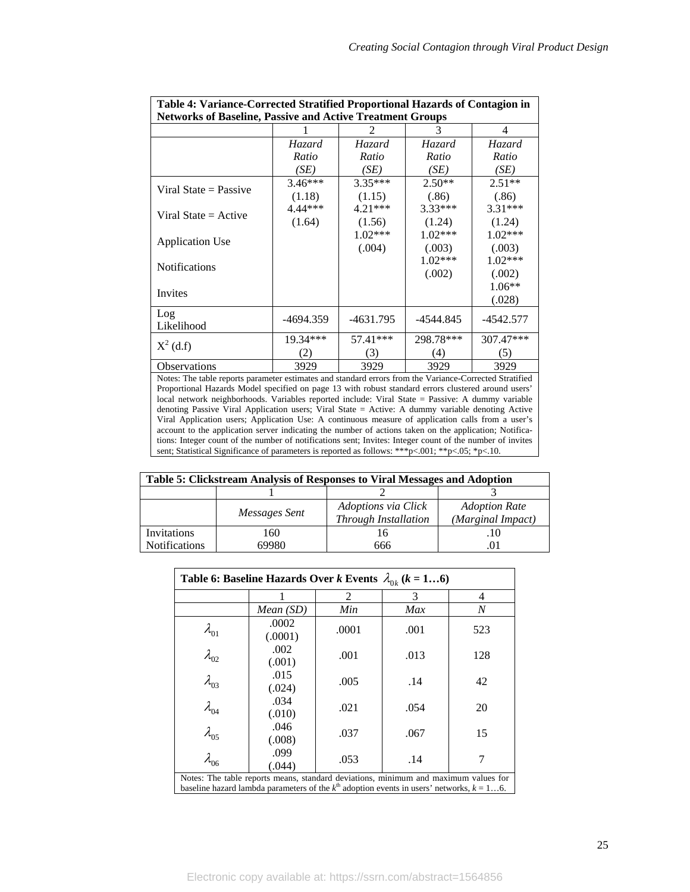| Table 4: Variance-Corrected Stratified Proportional Hazards of Contagion in                             |           |           |           |           |  |  |  |  |
|---------------------------------------------------------------------------------------------------------|-----------|-----------|-----------|-----------|--|--|--|--|
| <b>Networks of Baseline, Passive and Active Treatment Groups</b>                                        |           |           |           |           |  |  |  |  |
|                                                                                                         | 4<br>3    |           |           |           |  |  |  |  |
|                                                                                                         | Hazard    | Hazard    | Hazard    | Hazard    |  |  |  |  |
|                                                                                                         | Ratio     | Ratio     | Ratio     | Ratio     |  |  |  |  |
|                                                                                                         | 'SE)      | (SE)      | (SE)      | (SE)      |  |  |  |  |
| Viral State $=$ Passive                                                                                 | $3.46***$ | $3.35***$ | $2.50**$  | $2.51**$  |  |  |  |  |
|                                                                                                         | (1.18)    | (1.15)    | (.86)     | (.86)     |  |  |  |  |
| Viral State $=$ Active                                                                                  | $4.44***$ | 4.21***   | 3.33***   | $3.31***$ |  |  |  |  |
|                                                                                                         | (1.64)    | (1.56)    | (1.24)    | (1.24)    |  |  |  |  |
|                                                                                                         |           | $1.02***$ | $1.02***$ | $1.02***$ |  |  |  |  |
| <b>Application Use</b>                                                                                  |           | (.004)    | (.003)    | (.003)    |  |  |  |  |
| <b>Notifications</b>                                                                                    |           |           | $1.02***$ | $1.02***$ |  |  |  |  |
|                                                                                                         |           |           | (.002)    | (.002)    |  |  |  |  |
|                                                                                                         |           |           |           | $1.06**$  |  |  |  |  |
| Invites                                                                                                 |           |           |           | (.028)    |  |  |  |  |
| Log                                                                                                     | -4694.359 | -4631.795 | -4544.845 | -4542.577 |  |  |  |  |
| Likelihood                                                                                              |           |           |           |           |  |  |  |  |
| $X^2$ (d.f)                                                                                             | 19.34***  | 57.41***  | 298.78*** | 307.47*** |  |  |  |  |
|                                                                                                         | (2)       | (3)       | (4)       | (5)       |  |  |  |  |
| <b>Observations</b>                                                                                     | 3929      | 3929      | 3929      | 3929      |  |  |  |  |
| Notes: The table reports parameter estimates and standard errors from the Variance-Corrected Stratified |           |           |           |           |  |  |  |  |
| Proportional Hazards Model specified on page 13 with robust standard errors clustered around users'     |           |           |           |           |  |  |  |  |

local network neighborhoods. Variables reported include: Viral State = Passive: A dummy variable denoting Passive Viral Application users; Viral State = Active: A dummy variable denoting Active Viral Application users; Application Use: A continuous measure of application calls from a user's account to the application server indicating the number of actions taken on the application; Notifications: Integer count of the number of notifications sent; Invites: Integer count of the number of invites sent; Statistical Significance of parameters is reported as follows: \*\*\*p<.001; \*\*p<.05; \*p<.10.

| Table 5: Clickstream Analysis of Responses to Viral Messages and Adoption |               |                                                    |                                           |  |  |
|---------------------------------------------------------------------------|---------------|----------------------------------------------------|-------------------------------------------|--|--|
|                                                                           |               |                                                    |                                           |  |  |
|                                                                           | Messages Sent | Adoptions via Click<br><b>Through Installation</b> | <b>Adoption Rate</b><br>(Marginal Impact) |  |  |
| Invitations                                                               | 160           | ١h                                                 | .10                                       |  |  |
| <b>Notifications</b>                                                      | 69980         | 666                                                |                                           |  |  |

| Table 6: Baseline Hazards Over k Events $\lambda_{0k}$ (k = 16) |                                                                                                                                                                                                |       |      |     |  |  |  |  |
|-----------------------------------------------------------------|------------------------------------------------------------------------------------------------------------------------------------------------------------------------------------------------|-------|------|-----|--|--|--|--|
|                                                                 |                                                                                                                                                                                                | 2     | 3    | 4   |  |  |  |  |
|                                                                 | Mean(SD)                                                                                                                                                                                       | Min   | Max  | N   |  |  |  |  |
| $\lambda_{01}$                                                  | .0002<br>(.0001)                                                                                                                                                                               | .0001 | .001 | 523 |  |  |  |  |
| $\lambda_{02}$                                                  | .002<br>(.001)                                                                                                                                                                                 | .001  | .013 | 128 |  |  |  |  |
| $\lambda_{03}$                                                  | .015<br>(.024)                                                                                                                                                                                 | .005  | .14  | 42  |  |  |  |  |
| $\lambda_{04}$ $\lambda_{05}$                                   | .034<br>(.010)                                                                                                                                                                                 | .021  | .054 | 20  |  |  |  |  |
|                                                                 | .046<br>(.008)                                                                                                                                                                                 | .037  | .067 | 15  |  |  |  |  |
| $\lambda_{06}$                                                  | .099<br>(.044)                                                                                                                                                                                 | .053  | .14  | 7   |  |  |  |  |
|                                                                 | Notes: The table reports means, standard deviations, minimum and maximum values for<br>baseline hazard lambda parameters of the $k^{\text{th}}$ adoption events in users' networks, $k = 16$ . |       |      |     |  |  |  |  |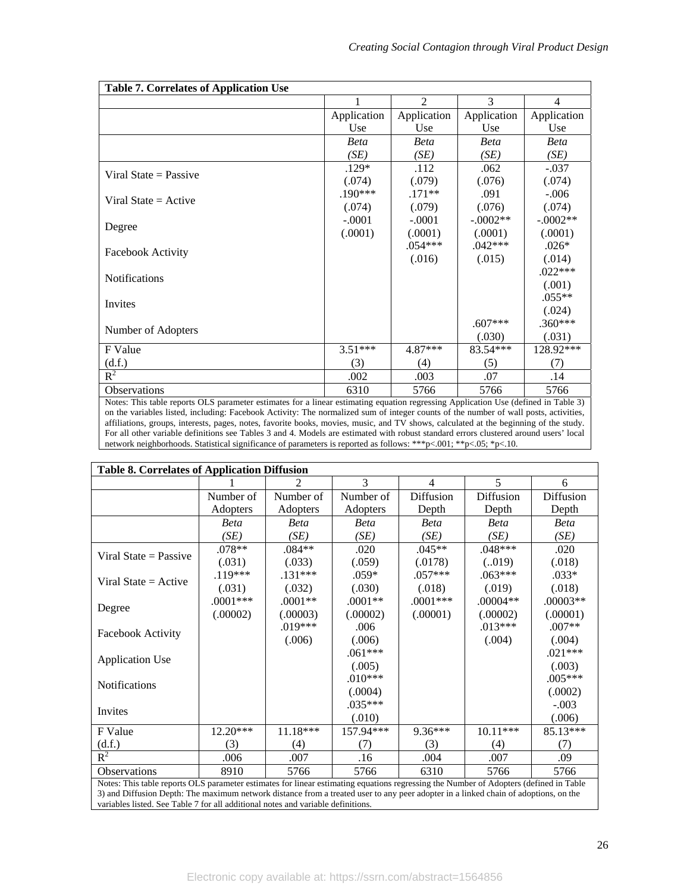| <b>Table 7. Correlates of Application Use</b>                                                                                      |             |                |             |             |  |  |  |
|------------------------------------------------------------------------------------------------------------------------------------|-------------|----------------|-------------|-------------|--|--|--|
|                                                                                                                                    | 1           | $\overline{2}$ | 3           | 4           |  |  |  |
|                                                                                                                                    | Application | Application    | Application | Application |  |  |  |
|                                                                                                                                    | Use         | Use            | Use         | Use         |  |  |  |
|                                                                                                                                    | <b>Beta</b> | <b>Beta</b>    | <b>Beta</b> | <b>Beta</b> |  |  |  |
|                                                                                                                                    | (SE)        | (SE)           | (SE)        | (SE)        |  |  |  |
| Viral State = Passive                                                                                                              | $.129*$     | .112           | .062        | $-.037$     |  |  |  |
|                                                                                                                                    | (.074)      | (.079)         | (.076)      | (.074)      |  |  |  |
|                                                                                                                                    | .190***     | $.171**$       | .091        | $-.006$     |  |  |  |
| Viral State $=$ Active                                                                                                             | (.074)      | (.079)         | (.076)      | (.074)      |  |  |  |
|                                                                                                                                    | $-.0001$    | $-.0001$       | $-.0002**$  | $-.0002**$  |  |  |  |
| Degree                                                                                                                             | (.0001)     | (.0001)        | (.0001)     | (.0001)     |  |  |  |
|                                                                                                                                    |             | $.054***$      | $.042***$   | $.026*$     |  |  |  |
| <b>Facebook Activity</b>                                                                                                           |             | (.016)         | (.015)      | (.014)      |  |  |  |
| <b>Notifications</b>                                                                                                               |             |                |             | $.022***$   |  |  |  |
|                                                                                                                                    |             |                |             | (.001)      |  |  |  |
|                                                                                                                                    |             |                |             | $.055**$    |  |  |  |
| Invites                                                                                                                            |             |                |             | (.024)      |  |  |  |
|                                                                                                                                    |             |                | $.607***$   | $.360***$   |  |  |  |
| Number of Adopters                                                                                                                 |             |                | (.030)      | (.031)      |  |  |  |
| F Value                                                                                                                            | $3.51***$   | 4.87***        | 83.54***    | 128.92***   |  |  |  |
| (d.f.)                                                                                                                             | (3)         | (4)            | (5)         | (7)         |  |  |  |
| $R^2$                                                                                                                              | .002        | .003           | .07         | .14         |  |  |  |
| Observations                                                                                                                       | 6310        | 5766           | 5766        | 5766        |  |  |  |
| Notes: This table reports OLS parameter estimates for a linear estimating equation regressing Application Use (defined in Table 3) |             |                |             |             |  |  |  |

on the variables listed, including: Facebook Activity: The normalized sum of integer counts of the number of wall posts, activities, affiliations, groups, interests, pages, notes, favorite books, movies, music, and TV shows, calculated at the beginning of the study. For all other variable definitions see Tables 3 and 4. Models are estimated with robust standard errors clustered around users' local network neighborhoods. Statistical significance of parameters is reported as follows: \*\*\*p<.001; \*\*p<.05; \*p<.10.

| <b>Table 8. Correlates of Application Diffusion</b>                                                                                   |             |             |               |             |             |             |  |
|---------------------------------------------------------------------------------------------------------------------------------------|-------------|-------------|---------------|-------------|-------------|-------------|--|
|                                                                                                                                       |             | 2           | $\mathcal{E}$ | 4           | 5           | 6           |  |
|                                                                                                                                       | Number of   | Number of   | Number of     | Diffusion   | Diffusion   | Diffusion   |  |
|                                                                                                                                       | Adopters    | Adopters    | Adopters      | Depth       | Depth       | Depth       |  |
|                                                                                                                                       | <b>Beta</b> | <b>Beta</b> | <b>Beta</b>   | <b>Beta</b> | <b>Beta</b> | <b>Beta</b> |  |
|                                                                                                                                       | (SE)        | (SE)        | (SE)          | (SE)        | (SE)        | (SE)        |  |
| Viral State $=$ Passive                                                                                                               | .078**      | $.084**$    | .020          | $.045**$    | $.048***$   | .020        |  |
|                                                                                                                                       | (.031)      | (.033)      | (.059)        | (.0178)     | (.019)      | (.018)      |  |
| Viral State $=$ Active                                                                                                                | $.119***$   | $.131***$   | $.059*$       | $.057***$   | $.063***$   | $.033*$     |  |
|                                                                                                                                       | (.031)      | (.032)      | (.030)        | (.018)      | (.019)      | (.018)      |  |
|                                                                                                                                       | $.0001***$  | $.0001**$   | $.0001**$     | $.0001***$  | $.00004**$  | $.00003**$  |  |
| Degree                                                                                                                                | (.00002)    | (.00003)    | (.00002)      | (.00001)    | (.00002)    | (.00001)    |  |
|                                                                                                                                       |             | $.019***$   | .006          |             | $.013***$   | $.007**$    |  |
| <b>Facebook Activity</b>                                                                                                              |             | (.006)      | (.006)        |             | (.004)      | (.004)      |  |
|                                                                                                                                       |             |             | $.061***$     |             |             | $.021***$   |  |
| <b>Application Use</b>                                                                                                                |             |             | (.005)        |             |             | (.003)      |  |
|                                                                                                                                       |             |             | $.010***$     |             |             | $.005***$   |  |
| Notifications                                                                                                                         |             |             | (.0004)       |             |             | (.0002)     |  |
|                                                                                                                                       |             |             | $.035***$     |             |             | $-.003$     |  |
| Invites                                                                                                                               |             |             | (.010)        |             |             | (.006)      |  |
| F Value                                                                                                                               | 12.20***    | 11.18***    | 157.94***     | 9.36***     | 10.11***    | 85.13***    |  |
| (d.f.)                                                                                                                                | (3)         | (4)         | (7)           | (3)         | (4)         | (7)         |  |
| $R^2$                                                                                                                                 | .006        | .007        | .16           | .004        | .007        | .09         |  |
| <b>Observations</b>                                                                                                                   | 8910        | 5766        | 5766          | 6310        | 5766        | 5766        |  |
| Notes: This table reports OLS parameter estimates for linear estimating equations regressing the Number of Adopters (defined in Table |             |             |               |             |             |             |  |
| 3) and Diffusion Depth: The maximum network distance from a treated user to any peer adopter in a linked chain of adoptions, on the   |             |             |               |             |             |             |  |
| variables listed. See Table 7 for all additional notes and variable definitions.                                                      |             |             |               |             |             |             |  |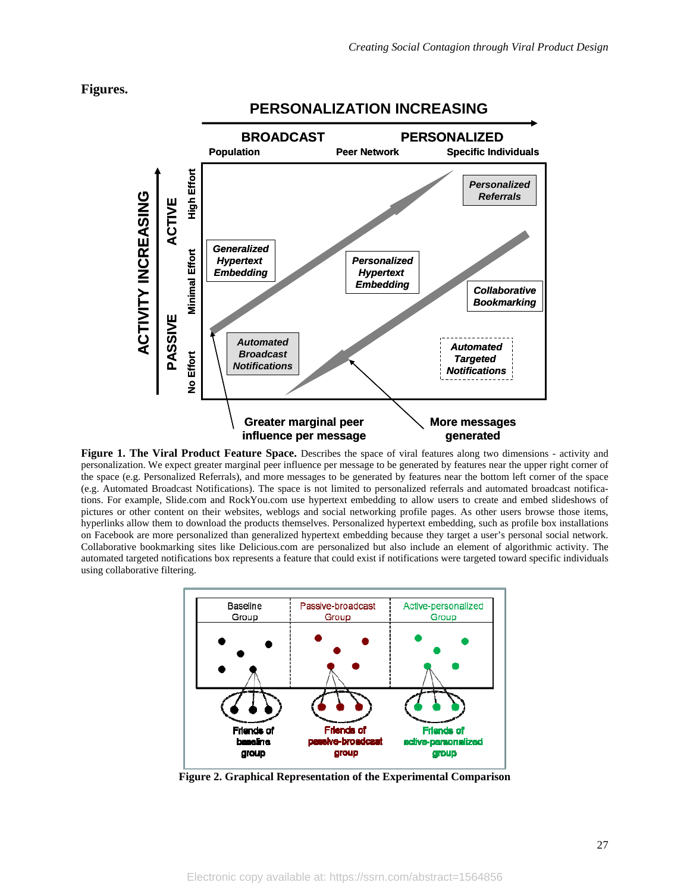# **Figures.**



**Figure 1. The Viral Product Feature Space.** Describes the space of viral features along two dimensions - activity and personalization. We expect greater marginal peer influence per message to be generated by features near the upper right corner of the space (e.g. Personalized Referrals), and more messages to be generated by features near the bottom left corner of the space (e.g. Automated Broadcast Notifications). The space is not limited to personalized referrals and automated broadcast notifications. For example, Slide.com and RockYou.com use hypertext embedding to allow users to create and embed slideshows of pictures or other content on their websites, weblogs and social networking profile pages. As other users browse those items, hyperlinks allow them to download the products themselves. Personalized hypertext embedding, such as profile box installations on Facebook are more personalized than generalized hypertext embedding because they target a user's personal social network. Collaborative bookmarking sites like Delicious.com are personalized but also include an element of algorithmic activity. The automated targeted notifications box represents a feature that could exist if notifications were targeted toward specific individuals using collaborative filtering.



**Figure 2. Graphical Representation of the Experimental Comparison**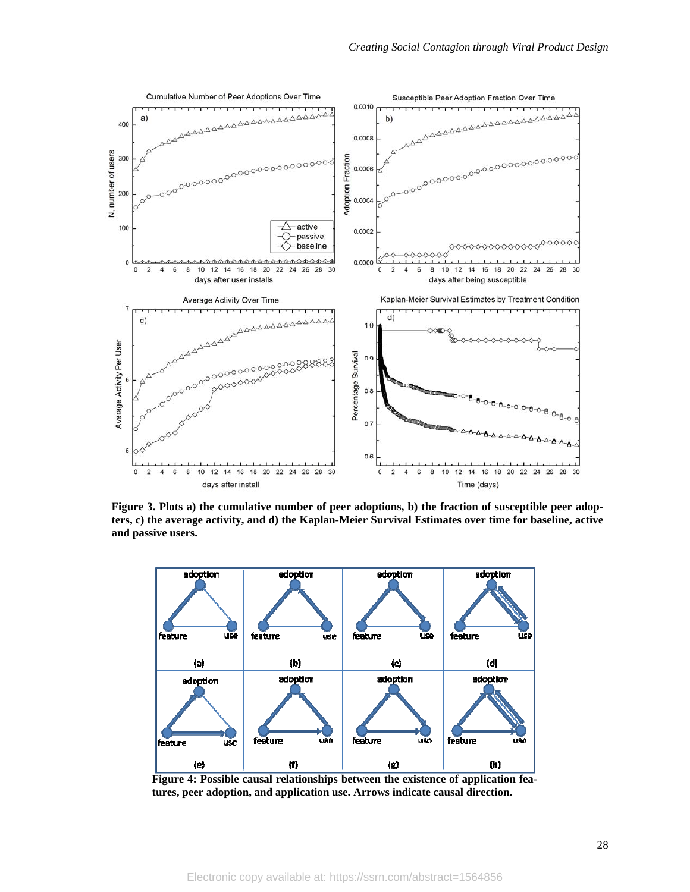

**Figure 3. Plots a) the cumulative number of peer adoptions, b) the fraction of susceptible peer adopters, c) the average activity, and d) the Kaplan-Meier Survival Estimates over time for baseline, active and passive users.** 



**Figure 4: Possible causal relationships between the existence of application features, peer adoption, and application use. Arrows indicate causal direction.**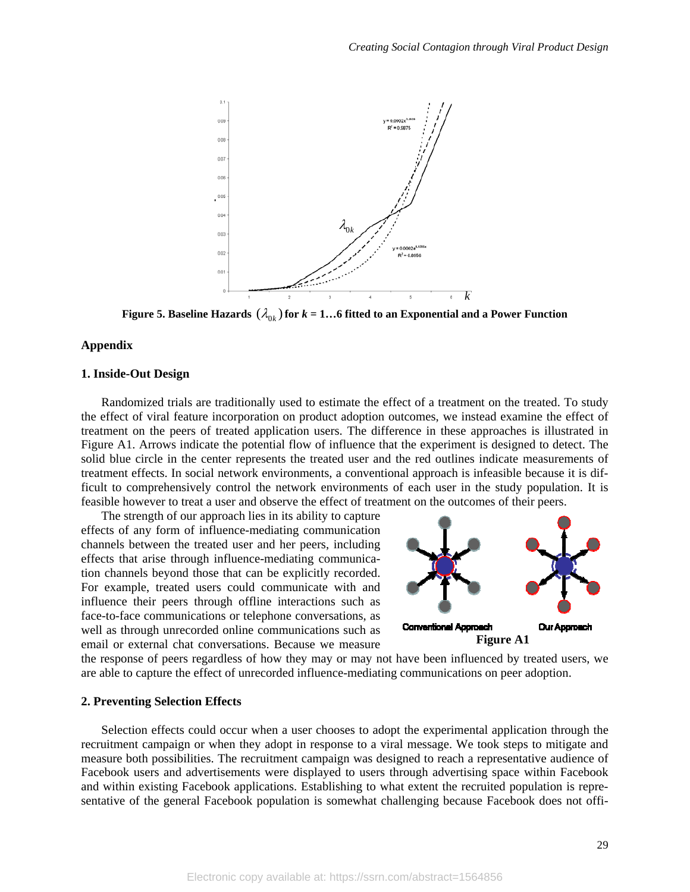

**Figure 5. Baseline Hazards**  $(\lambda_{0k})$  for  $k = 1...6$  fitted to an Exponential and a Power Function

#### **Appendix**

#### **1. Inside-Out Design**

Randomized trials are traditionally used to estimate the effect of a treatment on the treated. To study the effect of viral feature incorporation on product adoption outcomes, we instead examine the effect of treatment on the peers of treated application users. The difference in these approaches is illustrated in Figure A1. Arrows indicate the potential flow of influence that the experiment is designed to detect. The solid blue circle in the center represents the treated user and the red outlines indicate measurements of treatment effects. In social network environments, a conventional approach is infeasible because it is difficult to comprehensively control the network environments of each user in the study population. It is feasible however to treat a user and observe the effect of treatment on the outcomes of their peers.

The strength of our approach lies in its ability to capture effects of any form of influence-mediating communication channels between the treated user and her peers, including effects that arise through influence-mediating communication channels beyond those that can be explicitly recorded. For example, treated users could communicate with and influence their peers through offline interactions such as face-to-face communications or telephone conversations, as well as through unrecorded online communications such as email or external chat conversations. Because we measure



the response of peers regardless of how they may or may not have been influenced by treated users, we are able to capture the effect of unrecorded influence-mediating communications on peer adoption.

#### **2. Preventing Selection Effects**

Selection effects could occur when a user chooses to adopt the experimental application through the recruitment campaign or when they adopt in response to a viral message. We took steps to mitigate and measure both possibilities. The recruitment campaign was designed to reach a representative audience of Facebook users and advertisements were displayed to users through advertising space within Facebook and within existing Facebook applications. Establishing to what extent the recruited population is representative of the general Facebook population is somewhat challenging because Facebook does not offi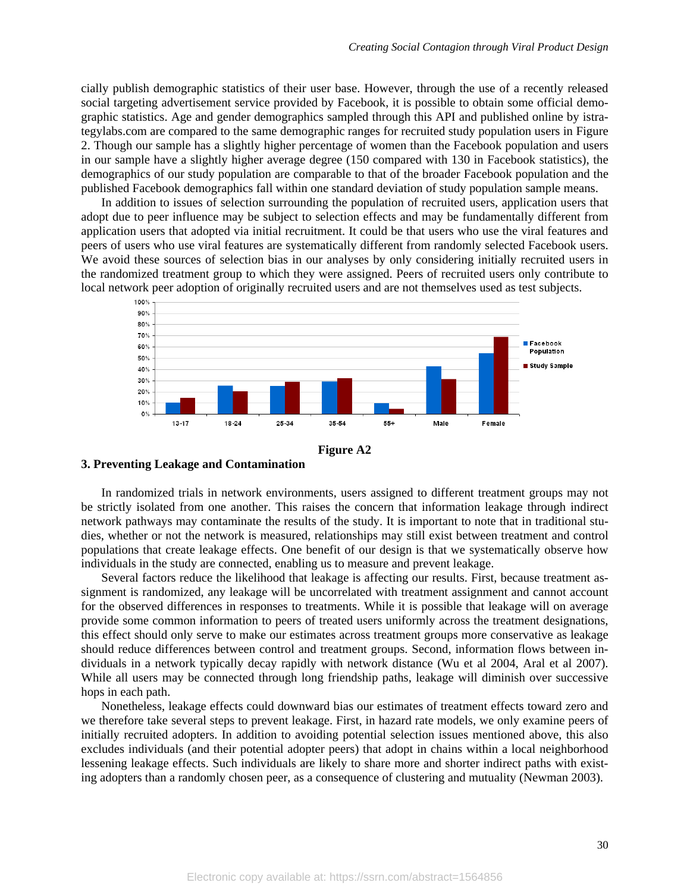cially publish demographic statistics of their user base. However, through the use of a recently released social targeting advertisement service provided by Facebook, it is possible to obtain some official demographic statistics. Age and gender demographics sampled through this API and published online by istrategylabs.com are compared to the same demographic ranges for recruited study population users in Figure 2. Though our sample has a slightly higher percentage of women than the Facebook population and users in our sample have a slightly higher average degree (150 compared with 130 in Facebook statistics), the demographics of our study population are comparable to that of the broader Facebook population and the published Facebook demographics fall within one standard deviation of study population sample means.

In addition to issues of selection surrounding the population of recruited users, application users that adopt due to peer influence may be subject to selection effects and may be fundamentally different from application users that adopted via initial recruitment. It could be that users who use the viral features and peers of users who use viral features are systematically different from randomly selected Facebook users. We avoid these sources of selection bias in our analyses by only considering initially recruited users in the randomized treatment group to which they were assigned. Peers of recruited users only contribute to local network peer adoption of originally recruited users and are not themselves used as test subjects.



**Figure A2** 

#### **3. Preventing Leakage and Contamination**

In randomized trials in network environments, users assigned to different treatment groups may not be strictly isolated from one another. This raises the concern that information leakage through indirect network pathways may contaminate the results of the study. It is important to note that in traditional studies, whether or not the network is measured, relationships may still exist between treatment and control populations that create leakage effects. One benefit of our design is that we systematically observe how individuals in the study are connected, enabling us to measure and prevent leakage.

Several factors reduce the likelihood that leakage is affecting our results. First, because treatment assignment is randomized, any leakage will be uncorrelated with treatment assignment and cannot account for the observed differences in responses to treatments. While it is possible that leakage will on average provide some common information to peers of treated users uniformly across the treatment designations, this effect should only serve to make our estimates across treatment groups more conservative as leakage should reduce differences between control and treatment groups. Second, information flows between individuals in a network typically decay rapidly with network distance (Wu et al 2004, Aral et al 2007). While all users may be connected through long friendship paths, leakage will diminish over successive hops in each path.

Nonetheless, leakage effects could downward bias our estimates of treatment effects toward zero and we therefore take several steps to prevent leakage. First, in hazard rate models, we only examine peers of initially recruited adopters. In addition to avoiding potential selection issues mentioned above, this also excludes individuals (and their potential adopter peers) that adopt in chains within a local neighborhood lessening leakage effects. Such individuals are likely to share more and shorter indirect paths with existing adopters than a randomly chosen peer, as a consequence of clustering and mutuality (Newman 2003).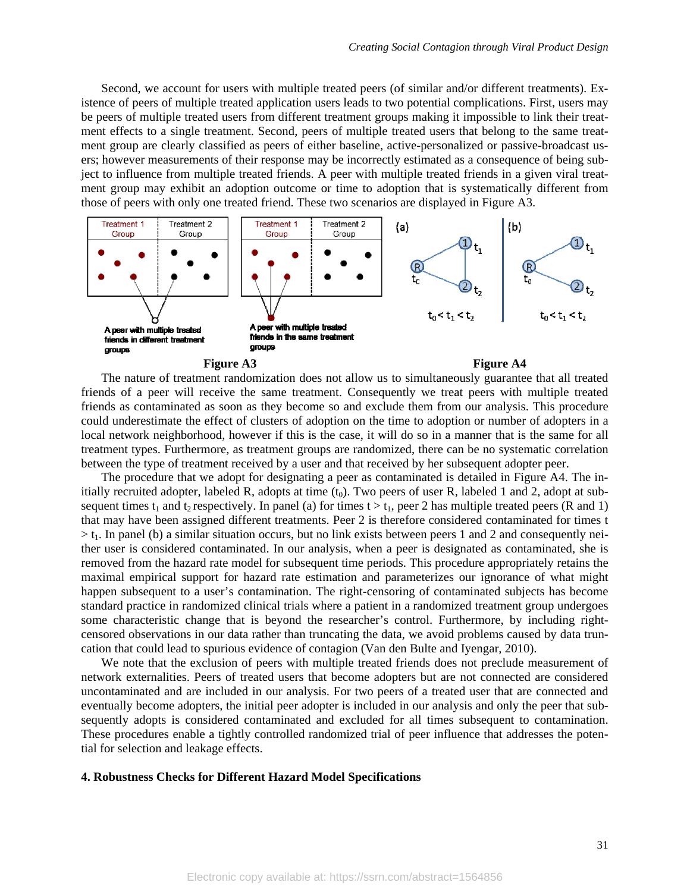Second, we account for users with multiple treated peers (of similar and/or different treatments). Existence of peers of multiple treated application users leads to two potential complications. First, users may be peers of multiple treated users from different treatment groups making it impossible to link their treatment effects to a single treatment. Second, peers of multiple treated users that belong to the same treatment group are clearly classified as peers of either baseline, active-personalized or passive-broadcast users; however measurements of their response may be incorrectly estimated as a consequence of being subject to influence from multiple treated friends. A peer with multiple treated friends in a given viral treatment group may exhibit an adoption outcome or time to adoption that is systematically different from those of peers with only one treated friend. These two scenarios are displayed in Figure A3.



The nature of treatment randomization does not allow us to simultaneously guarantee that all treated friends of a peer will receive the same treatment. Consequently we treat peers with multiple treated friends as contaminated as soon as they become so and exclude them from our analysis. This procedure could underestimate the effect of clusters of adoption on the time to adoption or number of adopters in a local network neighborhood, however if this is the case, it will do so in a manner that is the same for all treatment types. Furthermore, as treatment groups are randomized, there can be no systematic correlation between the type of treatment received by a user and that received by her subsequent adopter peer.

The procedure that we adopt for designating a peer as contaminated is detailed in Figure A4. The initially recruited adopter, labeled R, adopts at time  $(t_0)$ . Two peers of user R, labeled 1 and 2, adopt at subsequent times  $t_1$  and  $t_2$  respectively. In panel (a) for times  $t > t_1$ , peer 2 has multiple treated peers (R and 1) that may have been assigned different treatments. Peer 2 is therefore considered contaminated for times t  $> t<sub>1</sub>$ . In panel (b) a similar situation occurs, but no link exists between peers 1 and 2 and consequently neither user is considered contaminated. In our analysis, when a peer is designated as contaminated, she is removed from the hazard rate model for subsequent time periods. This procedure appropriately retains the maximal empirical support for hazard rate estimation and parameterizes our ignorance of what might happen subsequent to a user's contamination. The right-censoring of contaminated subjects has become standard practice in randomized clinical trials where a patient in a randomized treatment group undergoes some characteristic change that is beyond the researcher's control. Furthermore, by including rightcensored observations in our data rather than truncating the data, we avoid problems caused by data truncation that could lead to spurious evidence of contagion (Van den Bulte and Iyengar, 2010).

We note that the exclusion of peers with multiple treated friends does not preclude measurement of network externalities. Peers of treated users that become adopters but are not connected are considered uncontaminated and are included in our analysis. For two peers of a treated user that are connected and eventually become adopters, the initial peer adopter is included in our analysis and only the peer that subsequently adopts is considered contaminated and excluded for all times subsequent to contamination. These procedures enable a tightly controlled randomized trial of peer influence that addresses the potential for selection and leakage effects.

#### **4. Robustness Checks for Different Hazard Model Specifications**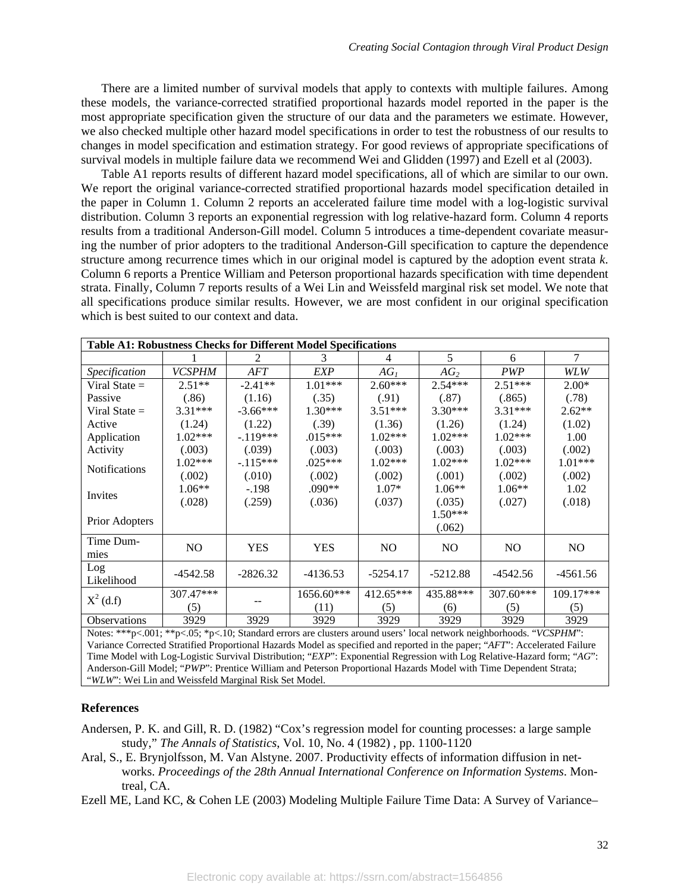There are a limited number of survival models that apply to contexts with multiple failures. Among these models, the variance-corrected stratified proportional hazards model reported in the paper is the most appropriate specification given the structure of our data and the parameters we estimate. However, we also checked multiple other hazard model specifications in order to test the robustness of our results to changes in model specification and estimation strategy. For good reviews of appropriate specifications of survival models in multiple failure data we recommend Wei and Glidden (1997) and Ezell et al (2003).

Table A1 reports results of different hazard model specifications, all of which are similar to our own. We report the original variance-corrected stratified proportional hazards model specification detailed in the paper in Column 1. Column 2 reports an accelerated failure time model with a log-logistic survival distribution. Column 3 reports an exponential regression with log relative-hazard form. Column 4 reports results from a traditional Anderson-Gill model. Column 5 introduces a time-dependent covariate measuring the number of prior adopters to the traditional Anderson-Gill specification to capture the dependence structure among recurrence times which in our original model is captured by the adoption event strata *k*. Column 6 reports a Prentice William and Peterson proportional hazards specification with time dependent strata. Finally, Column 7 reports results of a Wei Lin and Weissfeld marginal risk set model. We note that all specifications produce similar results. However, we are most confident in our original specification which is best suited to our context and data.

| <b>Table A1: Robustness Checks for Different Model Specifications</b>                                               |               |            |            |                 |                 |                |            |  |
|---------------------------------------------------------------------------------------------------------------------|---------------|------------|------------|-----------------|-----------------|----------------|------------|--|
|                                                                                                                     |               |            | 3          |                 | 5               | 6              | 7          |  |
| Specification                                                                                                       | <b>VCSPHM</b> | AFT        | EXP        | AG <sub>1</sub> | AG <sub>2</sub> | <b>PWP</b>     | WLW        |  |
| Viral State $=$                                                                                                     | $2.51**$      | $-2.41**$  | $1.01***$  | $2.60***$       | $2.54***$       | $2.51***$      | $2.00*$    |  |
| Passive                                                                                                             | (.86)         | (1.16)     | (.35)      | (.91)           | (.87)           | (.865)         | (.78)      |  |
| Viral State $=$                                                                                                     | $3.31***$     | $-3.66***$ | $1.30***$  | $3.51***$       | $3.30***$       | $3.31***$      | $2.62**$   |  |
| Active                                                                                                              | (1.24)        | (1.22)     | (.39)      | (1.36)          | (1.26)          | (1.24)         | (1.02)     |  |
| Application                                                                                                         | $1.02***$     | $-.119***$ | $.015***$  | $1.02***$       | $1.02***$       | $1.02***$      | 1.00       |  |
| Activity                                                                                                            | (.003)        | (.039)     | (.003)     | (.003)          | (.003)          | (.003)         | (.002)     |  |
| Notifications                                                                                                       | $1.02***$     | $-115***$  | $.025***$  | $1.02***$       | $1.02***$       | $1.02***$      | $1.01***$  |  |
|                                                                                                                     | (.002)        | (.010)     | (.002)     | (.002)          | (.001)          | (.002)         | (.002)     |  |
|                                                                                                                     | $1.06**$      | $-.198$    | $.090**$   | $1.07*$         | $1.06**$        | $1.06**$       | 1.02       |  |
| Invites                                                                                                             | (.028)        | (.259)     | (.036)     | (.037)          | (.035)          | (.027)         | (.018)     |  |
| Prior Adopters                                                                                                      |               |            |            |                 | $1.50***$       |                |            |  |
|                                                                                                                     |               |            |            |                 | (.062)          |                |            |  |
| Time Dum-                                                                                                           | NO            | <b>YES</b> | <b>YES</b> | N <sub>O</sub>  | NO.             | N <sub>O</sub> | NO.        |  |
| mies                                                                                                                |               |            |            |                 |                 |                |            |  |
| Log                                                                                                                 | $-4542.58$    | $-2826.32$ | $-4136.53$ | $-5254.17$      | $-5212.88$      | $-4542.56$     | $-4561.56$ |  |
| Likelihood                                                                                                          |               |            |            |                 |                 |                |            |  |
| $X^2$ (d.f)                                                                                                         | 307.47***     |            | 1656.60*** | $412.65***$     | 435.88***       | 307.60***      | 109.17***  |  |
|                                                                                                                     | (5)           |            | (11)       | (5)             | (6)             | (5)            | (5)        |  |
| Observations                                                                                                        | 3929          | 3929       | 3929       | 3929            | 3929            | 3929           | 3929       |  |
| Notes: ***p< 001; **p< 05; *p< 10; Standard errors are clusters around users' local network neighborhoods. "VCSDHM" |               |            |            |                 |                 |                |            |  |

Notes: \*\*\*p<.001; \*\*p<.05; \*p<.10; Standard errors are clusters around users' local network neighborhoods. "*VCSPHM*": Variance Corrected Stratified Proportional Hazards Model as specified and reported in the paper; "*AFT*": Accelerated Failure Time Model with Log-Logistic Survival Distribution; "*EXP*": Exponential Regression with Log Relative-Hazard form; "*AG*": Anderson-Gill Model; "*PWP*": Prentice William and Peterson Proportional Hazards Model with Time Dependent Strata; "*WLW*": Wei Lin and Weissfeld Marginal Risk Set Model.

#### **References**

Andersen, P. K. and Gill, R. D. (1982) "Cox's regression model for counting processes: a large sample study," *The Annals of Statistics*, Vol. 10, No. 4 (1982) , pp. 1100-1120

Aral, S., E. Brynjolfsson, M. Van Alstyne. 2007. Productivity effects of information diffusion in networks. *Proceedings of the 28th Annual International Conference on Information Systems*. Montreal, CA.

Ezell ME, Land KC, & Cohen LE (2003) Modeling Multiple Failure Time Data: A Survey of Variance–